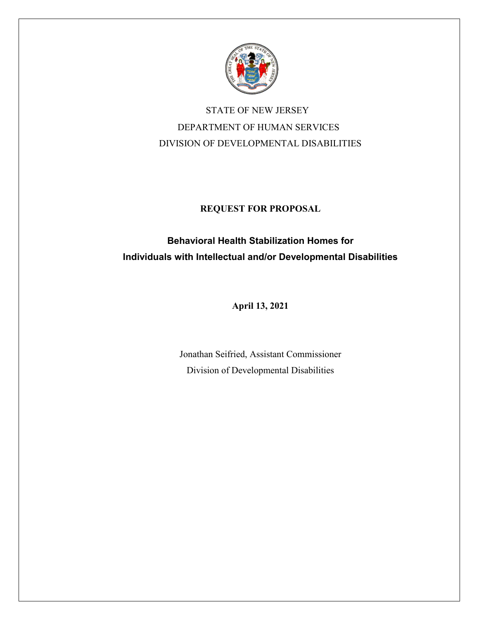

 STATE OF NEW JERSEY DEPARTMENT OF HUMAN SERVICES DIVISION OF DEVELOPMENTAL DISABILITIES

## **REQUEST FOR PROPOSAL**

# **Behavioral Health Stabilization Homes for Individuals with Intellectual and/or Developmental Disabilities**

**April 13, 2021**

Jonathan Seifried, Assistant Commissioner Division of Developmental Disabilities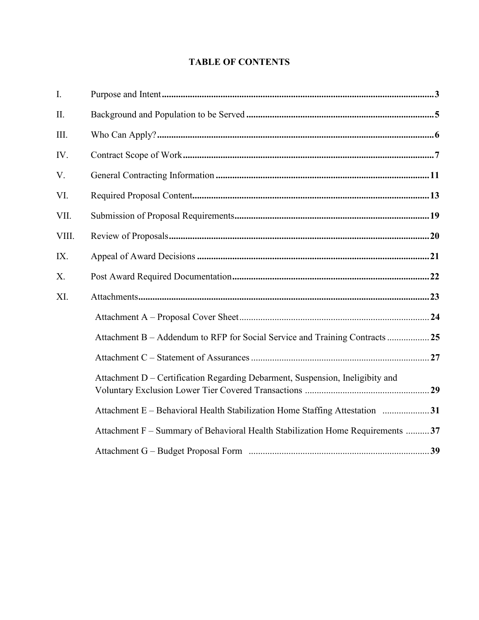## **TABLE OF CONTENTS**

| I.    |                                                                                 |  |
|-------|---------------------------------------------------------------------------------|--|
| II.   |                                                                                 |  |
| III.  |                                                                                 |  |
| IV.   |                                                                                 |  |
| V.    |                                                                                 |  |
| VI.   |                                                                                 |  |
| VII.  |                                                                                 |  |
| VIII. |                                                                                 |  |
| IX.   |                                                                                 |  |
| X.    |                                                                                 |  |
| XI.   |                                                                                 |  |
|       |                                                                                 |  |
|       | Attachment B - Addendum to RFP for Social Service and Training Contracts  25    |  |
|       |                                                                                 |  |
|       | Attachment D - Certification Regarding Debarment, Suspension, Ineligibity and   |  |
|       | Attachment E - Behavioral Health Stabilization Home Staffing Attestation 31     |  |
|       | Attachment F – Summary of Behavioral Health Stabilization Home Requirements  37 |  |
|       |                                                                                 |  |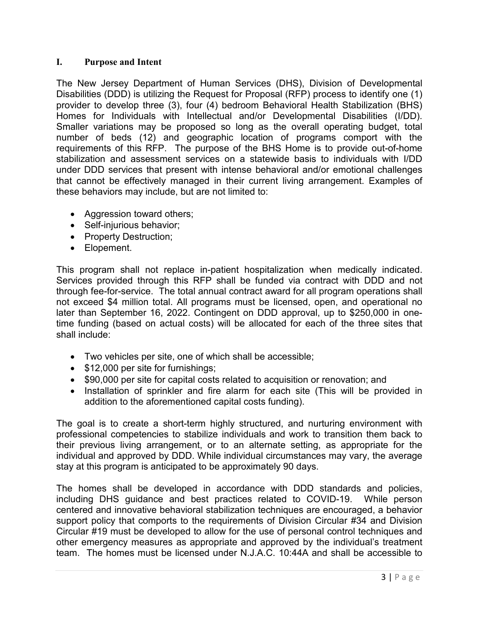### <span id="page-2-0"></span>**I. Purpose and Intent**

The New Jersey Department of Human Services (DHS), Division of Developmental Disabilities (DDD) is utilizing the Request for Proposal (RFP) process to identify one (1) provider to develop three (3), four (4) bedroom Behavioral Health Stabilization (BHS) Homes for Individuals with Intellectual and/or Developmental Disabilities (I/DD). Smaller variations may be proposed so long as the overall operating budget, total number of beds (12) and geographic location of programs comport with the requirements of this RFP. The purpose of the BHS Home is to provide out-of-home stabilization and assessment services on a statewide basis to individuals with I/DD under DDD services that present with intense behavioral and/or emotional challenges that cannot be effectively managed in their current living arrangement. Examples of these behaviors may include, but are not limited to:

- Aggression toward others;
- Self-injurious behavior;
- Property Destruction;
- Elopement.

This program shall not replace in-patient hospitalization when medically indicated. Services provided through this RFP shall be funded via contract with DDD and not through fee-for-service. The total annual contract award for all program operations shall not exceed \$4 million total. All programs must be licensed, open, and operational no later than September 16, 2022. Contingent on DDD approval, up to \$250,000 in onetime funding (based on actual costs) will be allocated for each of the three sites that shall include:

- Two vehicles per site, one of which shall be accessible;
- \$12,000 per site for furnishings;
- \$90,000 per site for capital costs related to acquisition or renovation; and
- Installation of sprinkler and fire alarm for each site (This will be provided in addition to the aforementioned capital costs funding).

The goal is to create a short-term highly structured, and nurturing environment with professional competencies to stabilize individuals and work to transition them back to their previous living arrangement, or to an alternate setting, as appropriate for the individual and approved by DDD. While individual circumstances may vary, the average stay at this program is anticipated to be approximately 90 days.

The homes shall be developed in accordance with DDD standards and policies, including DHS guidance and best practices related to COVID-19. While person centered and innovative behavioral stabilization techniques are encouraged, a behavior support policy that comports to the requirements of Division Circular #34 and Division Circular #19 must be developed to allow for the use of personal control techniques and other emergency measures as appropriate and approved by the individual's treatment team. The homes must be licensed under N.J.A.C. 10:44A and shall be accessible to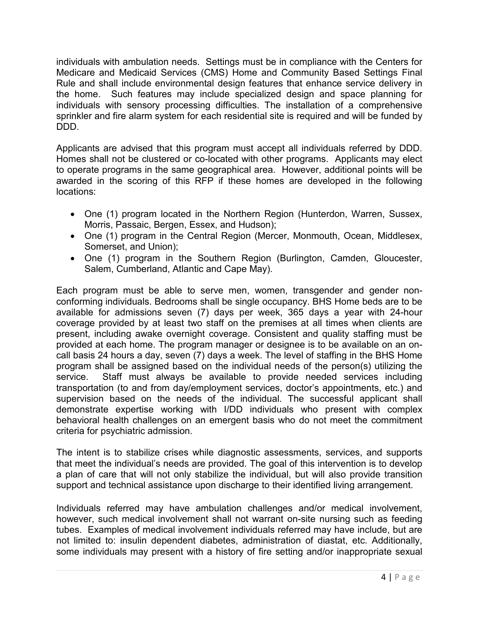individuals with ambulation needs. Settings must be in compliance with the Centers for Medicare and Medicaid Services (CMS) Home and Community Based Settings Final Rule and shall include environmental design features that enhance service delivery in the home. Such features may include specialized design and space planning for individuals with sensory processing difficulties. The installation of a comprehensive sprinkler and fire alarm system for each residential site is required and will be funded by DDD.

Applicants are advised that this program must accept all individuals referred by DDD. Homes shall not be clustered or co-located with other programs. Applicants may elect to operate programs in the same geographical area. However, additional points will be awarded in the scoring of this RFP if these homes are developed in the following locations:

- One (1) program located in the Northern Region (Hunterdon, Warren, Sussex, Morris, Passaic, Bergen, Essex, and Hudson);
- One (1) program in the Central Region (Mercer, Monmouth, Ocean, Middlesex, Somerset, and Union);
- One (1) program in the Southern Region (Burlington, Camden, Gloucester, Salem, Cumberland, Atlantic and Cape May).

Each program must be able to serve men, women, transgender and gender nonconforming individuals. Bedrooms shall be single occupancy. BHS Home beds are to be available for admissions seven (7) days per week, 365 days a year with 24-hour coverage provided by at least two staff on the premises at all times when clients are present, including awake overnight coverage. Consistent and quality staffing must be provided at each home. The program manager or designee is to be available on an oncall basis 24 hours a day, seven (7) days a week. The level of staffing in the BHS Home program shall be assigned based on the individual needs of the person(s) utilizing the service. Staff must always be available to provide needed services including transportation (to and from day/employment services, doctor's appointments, etc.) and supervision based on the needs of the individual. The successful applicant shall demonstrate expertise working with I/DD individuals who present with complex behavioral health challenges on an emergent basis who do not meet the commitment criteria for psychiatric admission.

The intent is to stabilize crises while diagnostic assessments, services, and supports that meet the individual's needs are provided. The goal of this intervention is to develop a plan of care that will not only stabilize the individual, but will also provide transition support and technical assistance upon discharge to their identified living arrangement.

Individuals referred may have ambulation challenges and/or medical involvement, however, such medical involvement shall not warrant on-site nursing such as feeding tubes. Examples of medical involvement individuals referred may have include, but are not limited to: insulin dependent diabetes, administration of diastat, etc. Additionally, some individuals may present with a history of fire setting and/or inappropriate sexual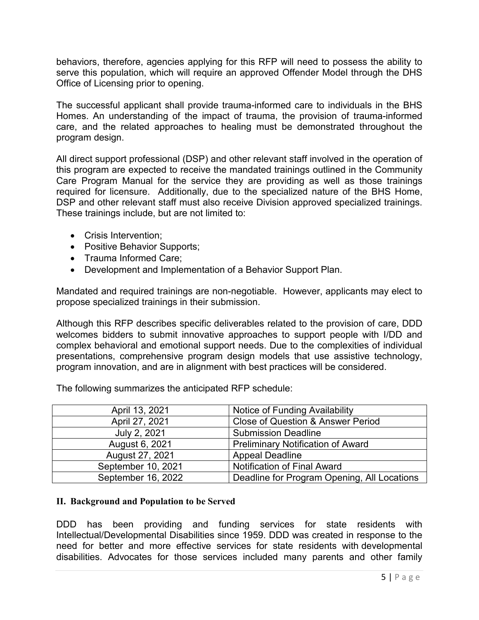behaviors, therefore, agencies applying for this RFP will need to possess the ability to serve this population, which will require an approved Offender Model through the DHS Office of Licensing prior to opening.

The successful applicant shall provide trauma-informed care to individuals in the BHS Homes. An understanding of the impact of trauma, the provision of trauma-informed care, and the related approaches to healing must be demonstrated throughout the program design.

All direct support professional (DSP) and other relevant staff involved in the operation of this program are expected to receive the mandated trainings outlined in the Community Care Program Manual for the service they are providing as well as those trainings required for licensure. Additionally, due to the specialized nature of the BHS Home, DSP and other relevant staff must also receive Division approved specialized trainings. These trainings include, but are not limited to:

- Crisis Intervention;
- Positive Behavior Supports;
- Trauma Informed Care;
- Development and Implementation of a Behavior Support Plan.

Mandated and required trainings are non-negotiable. However, applicants may elect to propose specialized trainings in their submission.

Although this RFP describes specific deliverables related to the provision of care, DDD welcomes bidders to submit innovative approaches to support people with I/DD and complex behavioral and emotional support needs. Due to the complexities of individual presentations, comprehensive program design models that use assistive technology, program innovation, and are in alignment with best practices will be considered.

| April 13, 2021     | <b>Notice of Funding Availability</b>        |
|--------------------|----------------------------------------------|
| April 27, 2021     | <b>Close of Question &amp; Answer Period</b> |
| July 2, 2021       | <b>Submission Deadline</b>                   |
| August 6, 2021     | <b>Preliminary Notification of Award</b>     |
| August 27, 2021    | <b>Appeal Deadline</b>                       |
| September 10, 2021 | <b>Notification of Final Award</b>           |
| September 16, 2022 | Deadline for Program Opening, All Locations  |

The following summarizes the anticipated RFP schedule:

### **II. Background and Population to be Served**

DDD has been providing and funding services for state residents with Intellectual/Developmental Disabilities since 1959. DDD was created in response to the need for better and more effective services for state residents with developmental disabilities. Advocates for those services included many parents and other family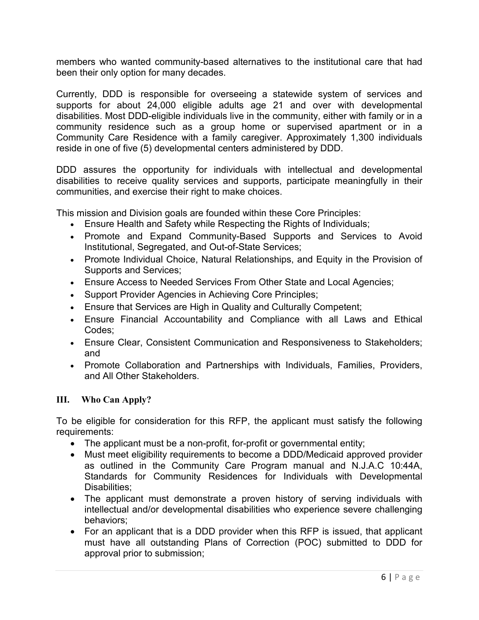members who wanted community-based alternatives to the institutional care that had been their only option for many decades.

Currently, DDD is responsible for overseeing a statewide system of services and supports for about 24,000 eligible adults age 21 and over with developmental disabilities. Most DDD-eligible individuals live in the community, either with family or in a community residence such as a group home or supervised apartment or in a Community Care Residence with a family caregiver. Approximately 1,300 individuals reside in one of five (5) developmental centers administered by DDD.

DDD assures the opportunity for individuals with intellectual and developmental disabilities to receive quality services and supports, participate meaningfully in their communities, and exercise their right to make choices.

This mission and Division goals are founded within these Core Principles:

- Ensure Health and Safety while Respecting the Rights of Individuals;
- Promote and Expand Community-Based Supports and Services to Avoid Institutional, Segregated, and Out-of-State Services;
- Promote Individual Choice, Natural Relationships, and Equity in the Provision of Supports and Services;
- Ensure Access to Needed Services From Other State and Local Agencies;
- Support Provider Agencies in Achieving Core Principles;
- Ensure that Services are High in Quality and Culturally Competent;
- Ensure Financial Accountability and Compliance with all Laws and Ethical Codes;
- Ensure Clear, Consistent Communication and Responsiveness to Stakeholders; and
- Promote Collaboration and Partnerships with Individuals, Families, Providers, and All Other Stakeholders.

### **III. Who Can Apply?**

To be eligible for consideration for this RFP, the applicant must satisfy the following requirements:

- The applicant must be a non-profit, for-profit or governmental entity;
- Must meet eligibility requirements to become a DDD/Medicaid approved provider as outlined in the Community Care Program manual and N.J.A.C 10:44A, Standards for Community Residences for Individuals with Developmental Disabilities:
- The applicant must demonstrate a proven history of serving individuals with intellectual and/or developmental disabilities who experience severe challenging behaviors;
- For an applicant that is a DDD provider when this RFP is issued, that applicant must have all outstanding Plans of Correction (POC) submitted to DDD for approval prior to submission;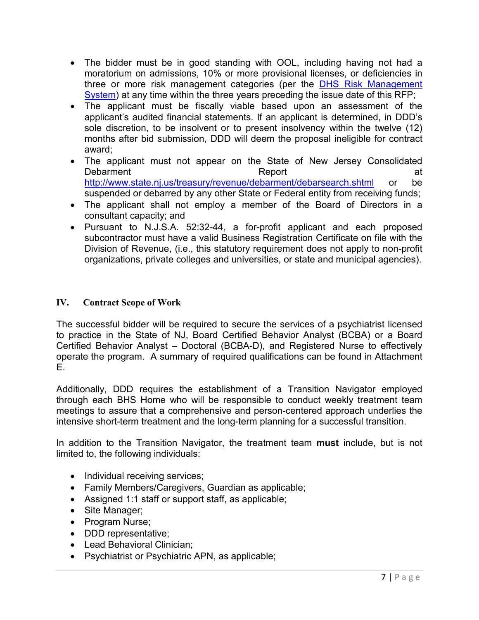- The bidder must be in good standing with OOL, including having not had a moratorium on admissions, 10% or more provisional licenses, or deficiencies in three or more risk management categories (per the **DHS Risk Management** [System\)](https://www.state.nj.us/humanservices/staff/opia/risk/index.html) at any time within the three years preceding the issue date of this RFP;
- The applicant must be fiscally viable based upon an assessment of the applicant's audited financial statements. If an applicant is determined, in DDD's sole discretion, to be insolvent or to present insolvency within the twelve (12) months after bid submission, DDD will deem the proposal ineligible for contract award;
- The applicant must not appear on the State of New Jersey Consolidated Debarment at the Report and Report at the Report at the Report at the Report at the  $R$ <http://www.state.nj.us/treasury/revenue/debarment/debarsearch.shtml> or be suspended or debarred by any other State or Federal entity from receiving funds;
- The applicant shall not employ a member of the Board of Directors in a consultant capacity; and
- Pursuant to N.J.S.A. 52:32-44, a for-profit applicant and each proposed subcontractor must have a valid Business Registration Certificate on file with the Division of Revenue, (i.e., this statutory requirement does not apply to non-profit organizations, private colleges and universities, or state and municipal agencies).

## <span id="page-6-0"></span>**IV. Contract Scope of Work**

The successful bidder will be required to secure the services of a psychiatrist licensed to practice in the State of NJ, Board Certified Behavior Analyst (BCBA) or a Board Certified Behavior Analyst – Doctoral (BCBA-D), and Registered Nurse to effectively operate the program. A summary of required qualifications can be found in Attachment E.

Additionally, DDD requires the establishment of a Transition Navigator employed through each BHS Home who will be responsible to conduct weekly treatment team meetings to assure that a comprehensive and person-centered approach underlies the intensive short-term treatment and the long-term planning for a successful transition.

In addition to the Transition Navigator, the treatment team **must** include, but is not limited to, the following individuals:

- Individual receiving services;
- Family Members/Caregivers, Guardian as applicable;
- Assigned 1:1 staff or support staff, as applicable;
- Site Manager;
- Program Nurse;
- DDD representative;
- Lead Behavioral Clinician;
- Psychiatrist or Psychiatric APN, as applicable;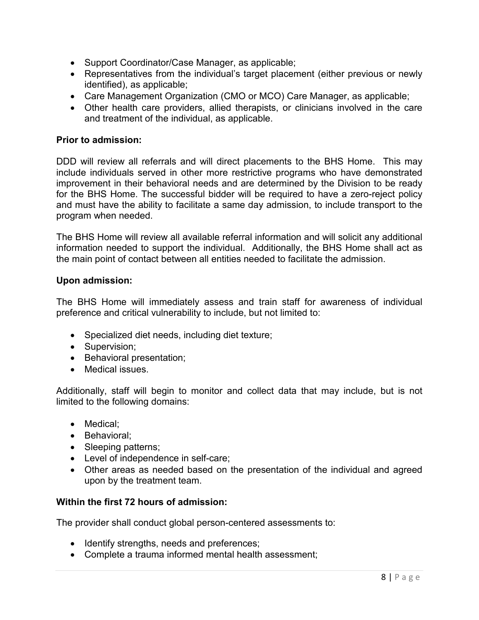- Support Coordinator/Case Manager, as applicable;
- Representatives from the individual's target placement (either previous or newly identified), as applicable;
- Care Management Organization (CMO or MCO) Care Manager, as applicable;
- Other health care providers, allied therapists, or clinicians involved in the care and treatment of the individual, as applicable.

### **Prior to admission:**

DDD will review all referrals and will direct placements to the BHS Home. This may include individuals served in other more restrictive programs who have demonstrated improvement in their behavioral needs and are determined by the Division to be ready for the BHS Home. The successful bidder will be required to have a zero-reject policy and must have the ability to facilitate a same day admission, to include transport to the program when needed.

The BHS Home will review all available referral information and will solicit any additional information needed to support the individual. Additionally, the BHS Home shall act as the main point of contact between all entities needed to facilitate the admission.

### **Upon admission:**

The BHS Home will immediately assess and train staff for awareness of individual preference and critical vulnerability to include, but not limited to:

- Specialized diet needs, including diet texture;
- Supervision;
- Behavioral presentation;
- Medical issues.

Additionally, staff will begin to monitor and collect data that may include, but is not limited to the following domains:

- Medical:
- Behavioral;
- Sleeping patterns;
- Level of independence in self-care;
- Other areas as needed based on the presentation of the individual and agreed upon by the treatment team.

### **Within the first 72 hours of admission:**

The provider shall conduct global person-centered assessments to:

- Identify strengths, needs and preferences;
- Complete a trauma informed mental health assessment;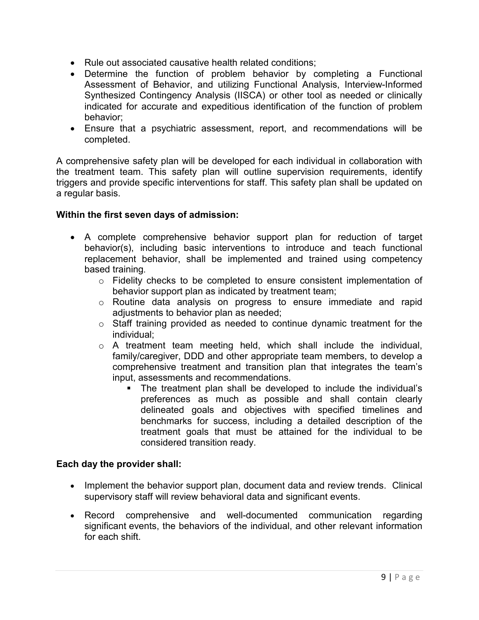- Rule out associated causative health related conditions;
- Determine the function of problem behavior by completing a Functional Assessment of Behavior, and utilizing Functional Analysis, Interview-Informed Synthesized Contingency Analysis (IISCA) or other tool as needed or clinically indicated for accurate and expeditious identification of the function of problem behavior;
- Ensure that a psychiatric assessment, report, and recommendations will be completed.

A comprehensive safety plan will be developed for each individual in collaboration with the treatment team. This safety plan will outline supervision requirements, identify triggers and provide specific interventions for staff. This safety plan shall be updated on a regular basis.

### **Within the first seven days of admission:**

- A complete comprehensive behavior support plan for reduction of target behavior(s), including basic interventions to introduce and teach functional replacement behavior, shall be implemented and trained using competency based training.
	- o Fidelity checks to be completed to ensure consistent implementation of behavior support plan as indicated by treatment team;
	- o Routine data analysis on progress to ensure immediate and rapid adjustments to behavior plan as needed;
	- o Staff training provided as needed to continue dynamic treatment for the individual;
	- o A treatment team meeting held, which shall include the individual, family/caregiver, DDD and other appropriate team members, to develop a comprehensive treatment and transition plan that integrates the team's input, assessments and recommendations.
		- The treatment plan shall be developed to include the individual's preferences as much as possible and shall contain clearly delineated goals and objectives with specified timelines and benchmarks for success, including a detailed description of the treatment goals that must be attained for the individual to be considered transition ready.

### **Each day the provider shall:**

- Implement the behavior support plan, document data and review trends. Clinical supervisory staff will review behavioral data and significant events.
- Record comprehensive and well-documented communication regarding significant events, the behaviors of the individual, and other relevant information for each shift.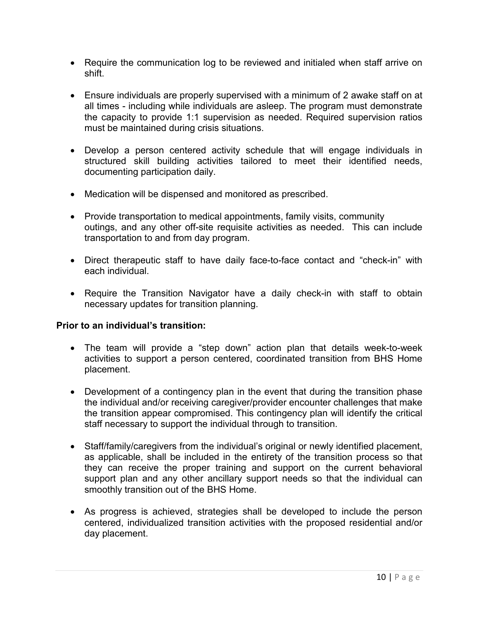- Require the communication log to be reviewed and initialed when staff arrive on shift.
- Ensure individuals are properly supervised with a minimum of 2 awake staff on at all times - including while individuals are asleep. The program must demonstrate the capacity to provide 1:1 supervision as needed. Required supervision ratios must be maintained during crisis situations.
- Develop a person centered activity schedule that will engage individuals in structured skill building activities tailored to meet their identified needs, documenting participation daily.
- Medication will be dispensed and monitored as prescribed.
- Provide transportation to medical appointments, family visits, community outings, and any other off-site requisite activities as needed. This can include transportation to and from day program.
- Direct therapeutic staff to have daily face-to-face contact and "check-in" with each individual.
- Require the Transition Navigator have a daily check-in with staff to obtain necessary updates for transition planning.

### **Prior to an individual's transition:**

- The team will provide a "step down" action plan that details week-to-week activities to support a person centered, coordinated transition from BHS Home placement.
- Development of a contingency plan in the event that during the transition phase the individual and/or receiving caregiver/provider encounter challenges that make the transition appear compromised. This contingency plan will identify the critical staff necessary to support the individual through to transition.
- Staff/family/caregivers from the individual's original or newly identified placement, as applicable, shall be included in the entirety of the transition process so that they can receive the proper training and support on the current behavioral support plan and any other ancillary support needs so that the individual can smoothly transition out of the BHS Home.
- As progress is achieved, strategies shall be developed to include the person centered, individualized transition activities with the proposed residential and/or day placement.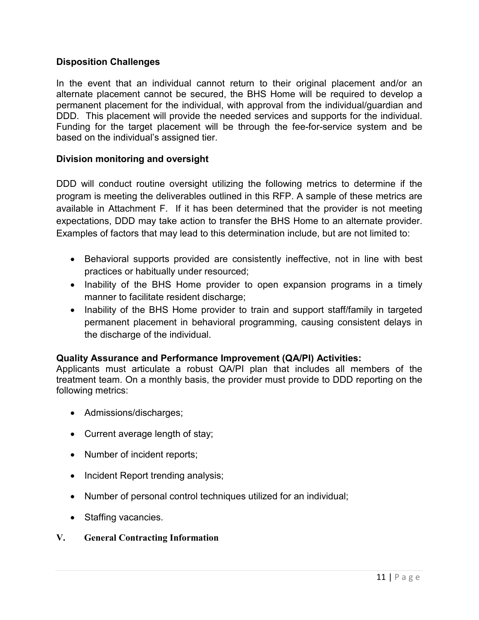### **Disposition Challenges**

In the event that an individual cannot return to their original placement and/or an alternate placement cannot be secured, the BHS Home will be required to develop a permanent placement for the individual, with approval from the individual/guardian and DDD. This placement will provide the needed services and supports for the individual. Funding for the target placement will be through the fee-for-service system and be based on the individual's assigned tier.

### **Division monitoring and oversight**

DDD will conduct routine oversight utilizing the following metrics to determine if the program is meeting the deliverables outlined in this RFP. A sample of these metrics are available in Attachment F. If it has been determined that the provider is not meeting expectations, DDD may take action to transfer the BHS Home to an alternate provider. Examples of factors that may lead to this determination include, but are not limited to:

- Behavioral supports provided are consistently ineffective, not in line with best practices or habitually under resourced;
- Inability of the BHS Home provider to open expansion programs in a timely manner to facilitate resident discharge;
- Inability of the BHS Home provider to train and support staff/family in targeted permanent placement in behavioral programming, causing consistent delays in the discharge of the individual.

### **Quality Assurance and Performance Improvement (QA/PI) Activities:**

Applicants must articulate a robust QA/PI plan that includes all members of the treatment team. On a monthly basis, the provider must provide to DDD reporting on the following metrics:

- Admissions/discharges;
- Current average length of stay;
- Number of incident reports;
- Incident Report trending analysis;
- Number of personal control techniques utilized for an individual;
- Staffing vacancies.

### <span id="page-10-0"></span>**V. General Contracting Information**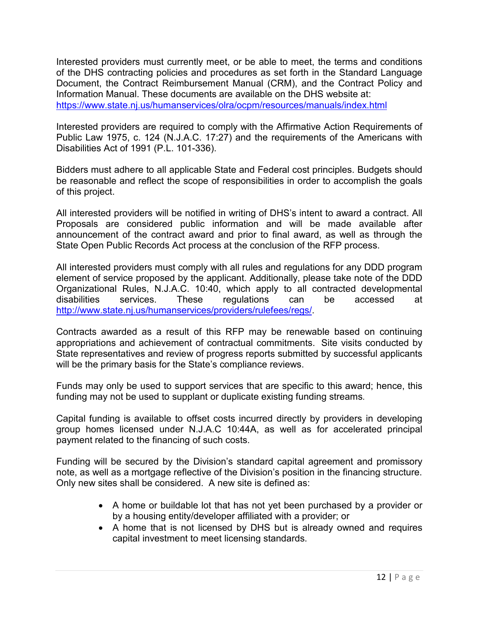Interested providers must currently meet, or be able to meet, the terms and conditions of the DHS contracting policies and procedures as set forth in the Standard Language Document, the Contract Reimbursement Manual (CRM), and the Contract Policy and Information Manual. These documents are available on the DHS website at: <https://www.state.nj.us/humanservices/olra/ocpm/resources/manuals/index.html>

Interested providers are required to comply with the Affirmative Action Requirements of Public Law 1975, c. 124 (N.J.A.C. 17:27) and the requirements of the Americans with Disabilities Act of 1991 (P.L. 101-336).

Bidders must adhere to all applicable State and Federal cost principles. Budgets should be reasonable and reflect the scope of responsibilities in order to accomplish the goals of this project.

All interested providers will be notified in writing of DHS's intent to award a contract. All Proposals are considered public information and will be made available after announcement of the contract award and prior to final award, as well as through the State Open Public Records Act process at the conclusion of the RFP process.

All interested providers must comply with all rules and regulations for any DDD program element of service proposed by the applicant. Additionally, please take note of the DDD Organizational Rules, N.J.A.C. 10:40, which apply to all contracted developmental disabilities services. These regulations can be accessed at [http://www.state.nj.us/humanservices/providers/rulefees/regs/.](http://www.state.nj.us/humanservices/providers/rulefees/regs/)

Contracts awarded as a result of this RFP may be renewable based on continuing appropriations and achievement of contractual commitments. Site visits conducted by State representatives and review of progress reports submitted by successful applicants will be the primary basis for the State's compliance reviews.

Funds may only be used to support services that are specific to this award; hence, this funding may not be used to supplant or duplicate existing funding streams.

Capital funding is available to offset costs incurred directly by providers in developing group homes licensed under N.J.A.C 10:44A, as well as for accelerated principal payment related to the financing of such costs.

Funding will be secured by the Division's standard capital agreement and promissory note, as well as a mortgage reflective of the Division's position in the financing structure. Only new sites shall be considered. A new site is defined as:

- A home or buildable lot that has not yet been purchased by a provider or by a housing entity/developer affiliated with a provider; or
- A home that is not licensed by DHS but is already owned and requires capital investment to meet licensing standards.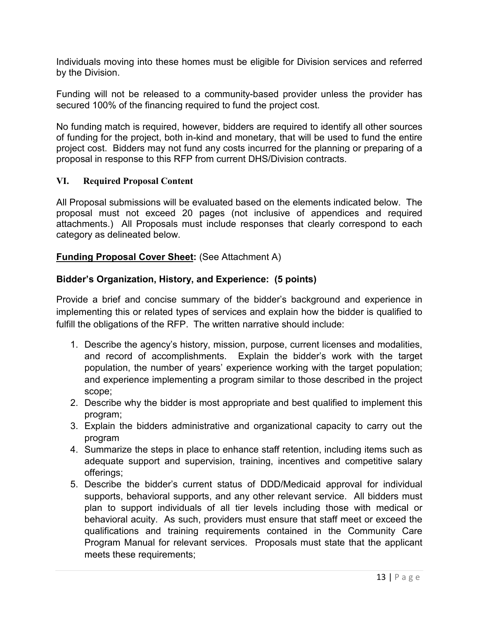Individuals moving into these homes must be eligible for Division services and referred by the Division.

Funding will not be released to a community-based provider unless the provider has secured 100% of the financing required to fund the project cost.

No funding match is required, however, bidders are required to identify all other sources of funding for the project, both in-kind and monetary, that will be used to fund the entire project cost. Bidders may not fund any costs incurred for the planning or preparing of a proposal in response to this RFP from current DHS/Division contracts.

### <span id="page-12-0"></span>**VI. Required Proposal Content**

All Proposal submissions will be evaluated based on the elements indicated below. The proposal must not exceed 20 pages (not inclusive of appendices and required attachments.) All Proposals must include responses that clearly correspond to each category as delineated below.

#### **Funding Proposal Cover Sheet:** (See Attachment A)

#### **Bidder's Organization, History, and Experience: (5 points)**

Provide a brief and concise summary of the bidder's background and experience in implementing this or related types of services and explain how the bidder is qualified to fulfill the obligations of the RFP. The written narrative should include:

- 1. Describe the agency's history, mission, purpose, current licenses and modalities, and record of accomplishments. Explain the bidder's work with the target population, the number of years' experience working with the target population; and experience implementing a program similar to those described in the project scope;
- 2. Describe why the bidder is most appropriate and best qualified to implement this program;
- 3. Explain the bidders administrative and organizational capacity to carry out the program
- 4. Summarize the steps in place to enhance staff retention, including items such as adequate support and supervision, training, incentives and competitive salary offerings;
- 5. Describe the bidder's current status of DDD/Medicaid approval for individual supports, behavioral supports, and any other relevant service. All bidders must plan to support individuals of all tier levels including those with medical or behavioral acuity. As such, providers must ensure that staff meet or exceed the qualifications and training requirements contained in the Community Care Program Manual for relevant services. Proposals must state that the applicant meets these requirements;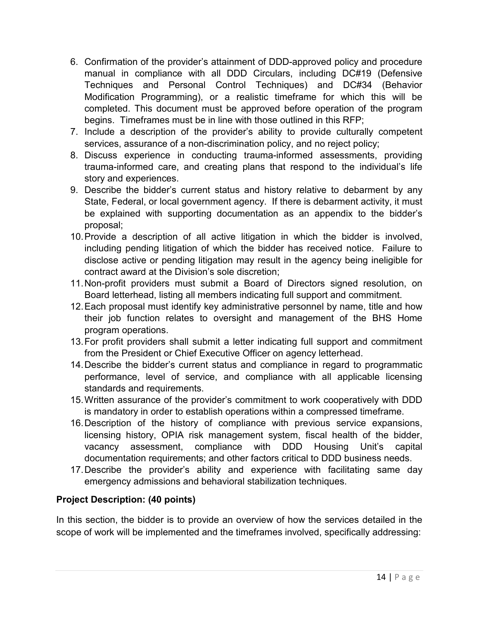- 6. Confirmation of the provider's attainment of DDD-approved policy and procedure manual in compliance with all DDD Circulars, including DC#19 (Defensive Techniques and Personal Control Techniques) and DC#34 (Behavior Modification Programming), or a realistic timeframe for which this will be completed. This document must be approved before operation of the program begins. Timeframes must be in line with those outlined in this RFP;
- 7. Include a description of the provider's ability to provide culturally competent services, assurance of a non-discrimination policy, and no reject policy;
- 8. Discuss experience in conducting trauma-informed assessments, providing trauma-informed care, and creating plans that respond to the individual's life story and experiences.
- 9. Describe the bidder's current status and history relative to debarment by any State, Federal, or local government agency. If there is debarment activity, it must be explained with supporting documentation as an appendix to the bidder's proposal;
- 10.Provide a description of all active litigation in which the bidder is involved, including pending litigation of which the bidder has received notice. Failure to disclose active or pending litigation may result in the agency being ineligible for contract award at the Division's sole discretion;
- 11.Non-profit providers must submit a Board of Directors signed resolution, on Board letterhead, listing all members indicating full support and commitment.
- 12.Each proposal must identify key administrative personnel by name, title and how their job function relates to oversight and management of the BHS Home program operations.
- 13.For profit providers shall submit a letter indicating full support and commitment from the President or Chief Executive Officer on agency letterhead.
- 14.Describe the bidder's current status and compliance in regard to programmatic performance, level of service, and compliance with all applicable licensing standards and requirements.
- 15.Written assurance of the provider's commitment to work cooperatively with DDD is mandatory in order to establish operations within a compressed timeframe.
- 16.Description of the history of compliance with previous service expansions, licensing history, OPIA risk management system, fiscal health of the bidder, vacancy assessment, compliance with DDD Housing Unit's capital documentation requirements; and other factors critical to DDD business needs.
- 17.Describe the provider's ability and experience with facilitating same day emergency admissions and behavioral stabilization techniques.

## **Project Description: (40 points)**

In this section, the bidder is to provide an overview of how the services detailed in the scope of work will be implemented and the timeframes involved, specifically addressing: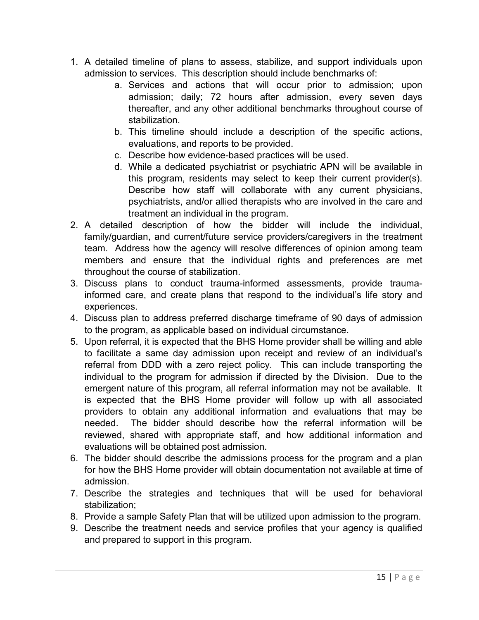- 1. A detailed timeline of plans to assess, stabilize, and support individuals upon admission to services. This description should include benchmarks of:
	- a. Services and actions that will occur prior to admission; upon admission; daily; 72 hours after admission, every seven days thereafter, and any other additional benchmarks throughout course of stabilization.
	- b. This timeline should include a description of the specific actions, evaluations, and reports to be provided.
	- c. Describe how evidence-based practices will be used.
	- d. While a dedicated psychiatrist or psychiatric APN will be available in this program, residents may select to keep their current provider(s). Describe how staff will collaborate with any current physicians, psychiatrists, and/or allied therapists who are involved in the care and treatment an individual in the program.
- 2. A detailed description of how the bidder will include the individual, family/guardian, and current/future service providers/caregivers in the treatment team. Address how the agency will resolve differences of opinion among team members and ensure that the individual rights and preferences are met throughout the course of stabilization.
- 3. Discuss plans to conduct trauma-informed assessments, provide traumainformed care, and create plans that respond to the individual's life story and experiences.
- 4. Discuss plan to address preferred discharge timeframe of 90 days of admission to the program, as applicable based on individual circumstance.
- 5. Upon referral, it is expected that the BHS Home provider shall be willing and able to facilitate a same day admission upon receipt and review of an individual's referral from DDD with a zero reject policy. This can include transporting the individual to the program for admission if directed by the Division. Due to the emergent nature of this program, all referral information may not be available. It is expected that the BHS Home provider will follow up with all associated providers to obtain any additional information and evaluations that may be needed. The bidder should describe how the referral information will be reviewed, shared with appropriate staff, and how additional information and evaluations will be obtained post admission.
- 6. The bidder should describe the admissions process for the program and a plan for how the BHS Home provider will obtain documentation not available at time of admission.
- 7. Describe the strategies and techniques that will be used for behavioral stabilization;
- 8. Provide a sample Safety Plan that will be utilized upon admission to the program.
- 9. Describe the treatment needs and service profiles that your agency is qualified and prepared to support in this program.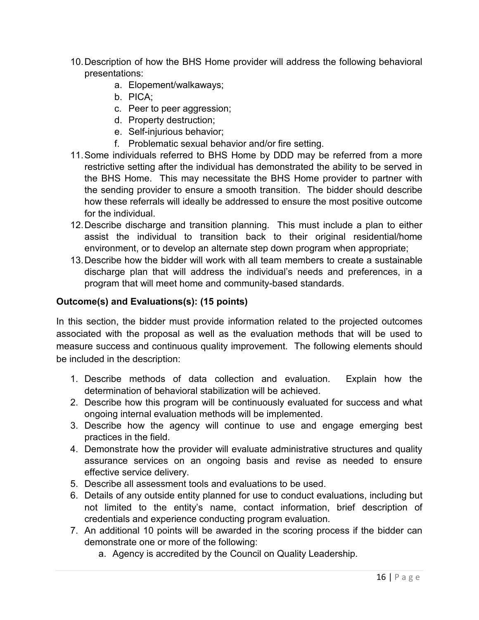- 10.Description of how the BHS Home provider will address the following behavioral presentations:
	- a. Elopement/walkaways;
	- b. PICA;
	- c. Peer to peer aggression;
	- d. Property destruction;
	- e. Self-injurious behavior;
	- f. Problematic sexual behavior and/or fire setting.
- 11.Some individuals referred to BHS Home by DDD may be referred from a more restrictive setting after the individual has demonstrated the ability to be served in the BHS Home. This may necessitate the BHS Home provider to partner with the sending provider to ensure a smooth transition. The bidder should describe how these referrals will ideally be addressed to ensure the most positive outcome for the individual.
- 12.Describe discharge and transition planning. This must include a plan to either assist the individual to transition back to their original residential/home environment, or to develop an alternate step down program when appropriate;
- 13.Describe how the bidder will work with all team members to create a sustainable discharge plan that will address the individual's needs and preferences, in a program that will meet home and community-based standards.

## **Outcome(s) and Evaluations(s): (15 points)**

In this section, the bidder must provide information related to the projected outcomes associated with the proposal as well as the evaluation methods that will be used to measure success and continuous quality improvement. The following elements should be included in the description:

- 1. Describe methods of data collection and evaluation. Explain how the determination of behavioral stabilization will be achieved.
- 2. Describe how this program will be continuously evaluated for success and what ongoing internal evaluation methods will be implemented.
- 3. Describe how the agency will continue to use and engage emerging best practices in the field.
- 4. Demonstrate how the provider will evaluate administrative structures and quality assurance services on an ongoing basis and revise as needed to ensure effective service delivery.
- 5. Describe all assessment tools and evaluations to be used.
- 6. Details of any outside entity planned for use to conduct evaluations, including but not limited to the entity's name, contact information, brief description of credentials and experience conducting program evaluation.
- 7. An additional 10 points will be awarded in the scoring process if the bidder can demonstrate one or more of the following:
	- a. Agency is accredited by the Council on Quality Leadership.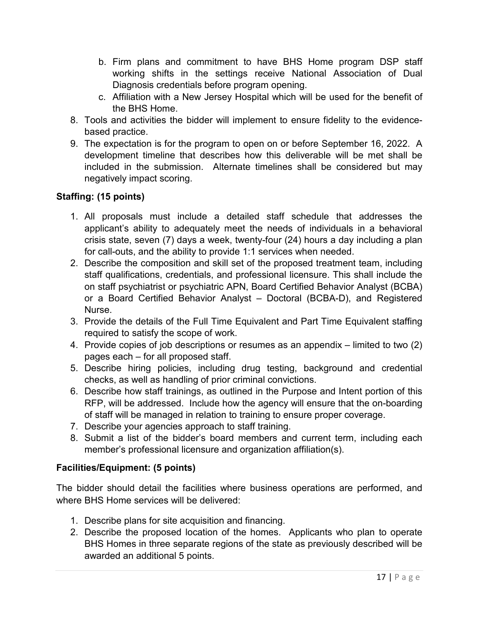- b. Firm plans and commitment to have BHS Home program DSP staff working shifts in the settings receive National Association of Dual Diagnosis credentials before program opening.
- c. Affiliation with a New Jersey Hospital which will be used for the benefit of the BHS Home.
- 8. Tools and activities the bidder will implement to ensure fidelity to the evidencebased practice.
- 9. The expectation is for the program to open on or before September 16, 2022. A development timeline that describes how this deliverable will be met shall be included in the submission. Alternate timelines shall be considered but may negatively impact scoring.

## **Staffing: (15 points)**

- 1. All proposals must include a detailed staff schedule that addresses the applicant's ability to adequately meet the needs of individuals in a behavioral crisis state, seven (7) days a week, twenty-four (24) hours a day including a plan for call-outs, and the ability to provide 1:1 services when needed.
- 2. Describe the composition and skill set of the proposed treatment team, including staff qualifications, credentials, and professional licensure. This shall include the on staff psychiatrist or psychiatric APN, Board Certified Behavior Analyst (BCBA) or a Board Certified Behavior Analyst – Doctoral (BCBA-D), and Registered Nurse.
- 3. Provide the details of the Full Time Equivalent and Part Time Equivalent staffing required to satisfy the scope of work.
- 4. Provide copies of job descriptions or resumes as an appendix limited to two (2) pages each – for all proposed staff.
- 5. Describe hiring policies, including drug testing, background and credential checks, as well as handling of prior criminal convictions.
- 6. Describe how staff trainings, as outlined in the Purpose and Intent portion of this RFP, will be addressed. Include how the agency will ensure that the on-boarding of staff will be managed in relation to training to ensure proper coverage.
- 7. Describe your agencies approach to staff training.
- 8. Submit a list of the bidder's board members and current term, including each member's professional licensure and organization affiliation(s).

## **Facilities/Equipment: (5 points)**

The bidder should detail the facilities where business operations are performed, and where BHS Home services will be delivered:

- 1. Describe plans for site acquisition and financing.
- 2. Describe the proposed location of the homes. Applicants who plan to operate BHS Homes in three separate regions of the state as previously described will be awarded an additional 5 points.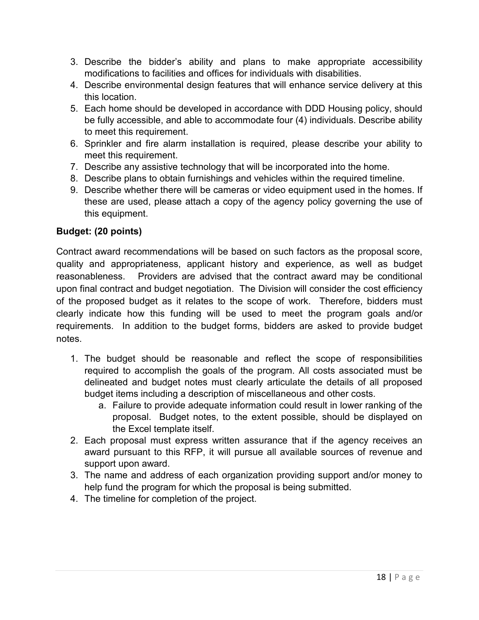- 3. Describe the bidder's ability and plans to make appropriate accessibility modifications to facilities and offices for individuals with disabilities.
- 4. Describe environmental design features that will enhance service delivery at this this location.
- 5. Each home should be developed in accordance with DDD Housing policy, should be fully accessible, and able to accommodate four (4) individuals. Describe ability to meet this requirement.
- 6. Sprinkler and fire alarm installation is required, please describe your ability to meet this requirement.
- 7. Describe any assistive technology that will be incorporated into the home.
- 8. Describe plans to obtain furnishings and vehicles within the required timeline.
- 9. Describe whether there will be cameras or video equipment used in the homes. If these are used, please attach a copy of the agency policy governing the use of this equipment.

## **Budget: (20 points)**

Contract award recommendations will be based on such factors as the proposal score, quality and appropriateness, applicant history and experience, as well as budget reasonableness. Providers are advised that the contract award may be conditional upon final contract and budget negotiation. The Division will consider the cost efficiency of the proposed budget as it relates to the scope of work. Therefore, bidders must clearly indicate how this funding will be used to meet the program goals and/or requirements. In addition to the budget forms, bidders are asked to provide budget notes.

- 1. The budget should be reasonable and reflect the scope of responsibilities required to accomplish the goals of the program. All costs associated must be delineated and budget notes must clearly articulate the details of all proposed budget items including a description of miscellaneous and other costs.
	- a. Failure to provide adequate information could result in lower ranking of the proposal. Budget notes, to the extent possible, should be displayed on the Excel template itself.
- 2. Each proposal must express written assurance that if the agency receives an award pursuant to this RFP, it will pursue all available sources of revenue and support upon award.
- 3. The name and address of each organization providing support and/or money to help fund the program for which the proposal is being submitted.
- 4. The timeline for completion of the project.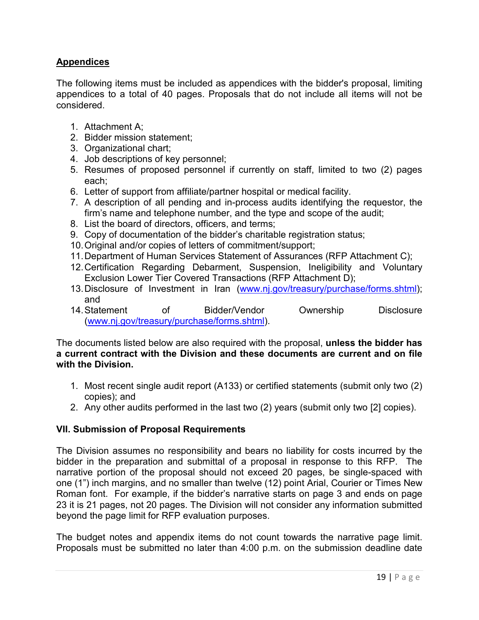### **Appendices**

The following items must be included as appendices with the bidder's proposal, limiting appendices to a total of 40 pages. Proposals that do not include all items will not be considered.

- 1. Attachment A;
- 2. Bidder mission statement;
- 3. Organizational chart;
- 4. Job descriptions of key personnel;
- 5. Resumes of proposed personnel if currently on staff, limited to two (2) pages each;
- 6. Letter of support from affiliate/partner hospital or medical facility.
- 7. A description of all pending and in-process audits identifying the requestor, the firm's name and telephone number, and the type and scope of the audit;
- 8. List the board of directors, officers, and terms;
- 9. Copy of documentation of the bidder's charitable registration status;
- 10.Original and/or copies of letters of commitment/support;
- 11.Department of Human Services Statement of Assurances (RFP Attachment C);
- 12.Certification Regarding Debarment, Suspension, Ineligibility and Voluntary Exclusion Lower Tier Covered Transactions (RFP Attachment D);
- 13.Disclosure of Investment in Iran [\(www.nj.gov/treasury/purchase/forms.shtml\)](http://www.nj.gov/treasury/purchase/forms.shtml); and<br>14. Statement
- of Bidder/Vendor Ownership Disclosure [\(www.nj.gov/treasury/purchase/forms.shtml\)](http://www.nj.gov/treasury/purchase/forms.shtml).

The documents listed below are also required with the proposal, **unless the bidder has a current contract with the Division and these documents are current and on file with the Division.**

- 1. Most recent single audit report (A133) or certified statements (submit only two (2) copies); and
- 2. Any other audits performed in the last two (2) years (submit only two [2] copies).

### **VII. Submission of Proposal Requirements**

The Division assumes no responsibility and bears no liability for costs incurred by the bidder in the preparation and submittal of a proposal in response to this RFP. The narrative portion of the proposal should not exceed 20 pages, be single-spaced with one (1") inch margins, and no smaller than twelve (12) point Arial, Courier or Times New Roman font. For example, if the bidder's narrative starts on page 3 and ends on page 23 it is 21 pages, not 20 pages. The Division will not consider any information submitted beyond the page limit for RFP evaluation purposes.

The budget notes and appendix items do not count towards the narrative page limit. Proposals must be submitted no later than 4:00 p.m. on the submission deadline date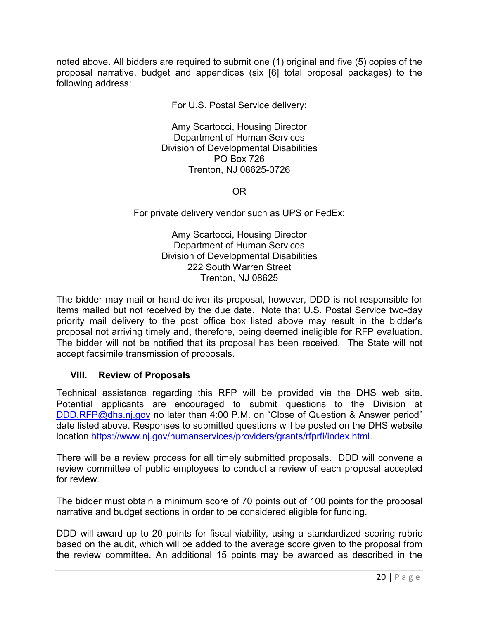noted above**.** All bidders are required to submit one (1) original and five (5) copies of the proposal narrative, budget and appendices (six [6] total proposal packages) to the following address:

For U.S. Postal Service delivery:

Amy Scartocci, Housing Director Department of Human Services Division of Developmental Disabilities PO Box 726 Trenton, NJ 08625-0726

OR

For private delivery vendor such as UPS or FedEx:

Amy Scartocci, Housing Director Department of Human Services Division of Developmental Disabilities 222 South Warren Street Trenton, NJ 08625

The bidder may mail or hand-deliver its proposal, however, DDD is not responsible for items mailed but not received by the due date. Note that U.S. Postal Service two-day priority mail delivery to the post office box listed above may result in the bidder's proposal not arriving timely and, therefore, being deemed ineligible for RFP evaluation. The bidder will not be notified that its proposal has been received. The State will not accept facsimile transmission of proposals.

### **VIII. Review of Proposals**

Technical assistance regarding this RFP will be provided via the DHS web site. Potential applicants are encouraged to submit questions to the Division at [DDD.RFP@dhs.nj.gov](mailto:DDD.RFP@dhs.nj.gov) no later than 4:00 P.M. on "Close of Question & Answer period" date listed above. Responses to submitted questions will be posted on the DHS website location [https://www.nj.gov/humanservices/providers/grants/rfprfi/index.html.](https://www.nj.gov/humanservices/providers/grants/rfprfi/index.html)

There will be a review process for all timely submitted proposals. DDD will convene a review committee of public employees to conduct a review of each proposal accepted for review.

The bidder must obtain a minimum score of 70 points out of 100 points for the proposal narrative and budget sections in order to be considered eligible for funding.

DDD will award up to 20 points for fiscal viability, using a standardized scoring rubric based on the audit, which will be added to the average score given to the proposal from the review committee. An additional 15 points may be awarded as described in the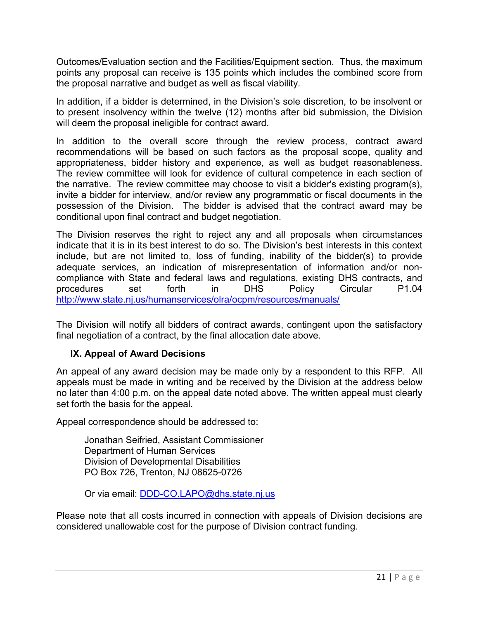Outcomes/Evaluation section and the Facilities/Equipment section. Thus, the maximum points any proposal can receive is 135 points which includes the combined score from the proposal narrative and budget as well as fiscal viability.

In addition, if a bidder is determined, in the Division's sole discretion, to be insolvent or to present insolvency within the twelve (12) months after bid submission, the Division will deem the proposal ineligible for contract award.

In addition to the overall score through the review process, contract award recommendations will be based on such factors as the proposal scope, quality and appropriateness, bidder history and experience, as well as budget reasonableness. The review committee will look for evidence of cultural competence in each section of the narrative. The review committee may choose to visit a bidder's existing program(s), invite a bidder for interview, and/or review any programmatic or fiscal documents in the possession of the Division. The bidder is advised that the contract award may be conditional upon final contract and budget negotiation.

The Division reserves the right to reject any and all proposals when circumstances indicate that it is in its best interest to do so. The Division's best interests in this context include, but are not limited to, loss of funding, inability of the bidder(s) to provide adequate services, an indication of misrepresentation of information and/or noncompliance with State and federal laws and regulations, existing DHS contracts, and procedures set forth in DHS Policy Circular P1.04 <http://www.state.nj.us/humanservices/olra/ocpm/resources/manuals/>

The Division will notify all bidders of contract awards, contingent upon the satisfactory final negotiation of a contract, by the final allocation date above.

### **IX. Appeal of Award Decisions**

An appeal of any award decision may be made only by a respondent to this RFP. All appeals must be made in writing and be received by the Division at the address below no later than 4:00 p.m. on the appeal date noted above. The written appeal must clearly set forth the basis for the appeal.

Appeal correspondence should be addressed to:

Jonathan Seifried, Assistant Commissioner Department of Human Services Division of Developmental Disabilities PO Box 726, Trenton, NJ 08625-0726

Or via email: **DDD-CO.LAPO@dhs.state.nj.us** 

Please note that all costs incurred in connection with appeals of Division decisions are considered unallowable cost for the purpose of Division contract funding.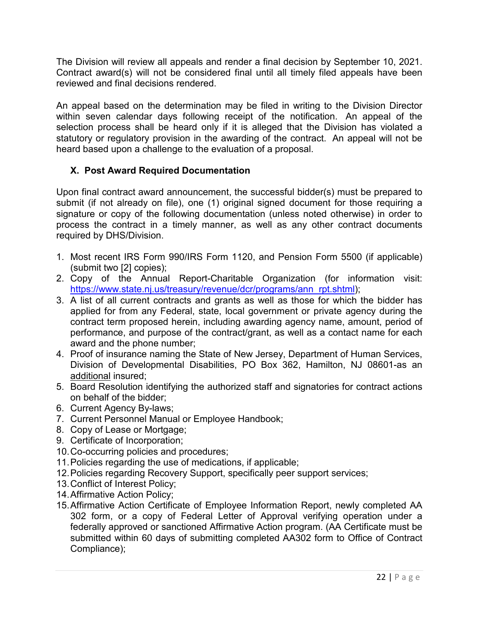The Division will review all appeals and render a final decision by September 10, 2021. Contract award(s) will not be considered final until all timely filed appeals have been reviewed and final decisions rendered.

An appeal based on the determination may be filed in writing to the Division Director within seven calendar days following receipt of the notification. An appeal of the selection process shall be heard only if it is alleged that the Division has violated a statutory or regulatory provision in the awarding of the contract. An appeal will not be heard based upon a challenge to the evaluation of a proposal.

## **X. Post Award Required Documentation**

Upon final contract award announcement, the successful bidder(s) must be prepared to submit (if not already on file), one (1) original signed document for those requiring a signature or copy of the following documentation (unless noted otherwise) in order to process the contract in a timely manner, as well as any other contract documents required by DHS/Division.

- 1. Most recent IRS Form 990/IRS Form 1120, and Pension Form 5500 (if applicable) (submit two [2] copies);
- 2. Copy of the Annual Report-Charitable Organization (for information visit: [https://www.state.nj.us/treasury/revenue/dcr/programs/ann\\_rpt.shtml\)](https://www.state.nj.us/treasury/revenue/dcr/programs/ann_rpt.shtml);
- 3. A list of all current contracts and grants as well as those for which the bidder has applied for from any Federal, state, local government or private agency during the contract term proposed herein, including awarding agency name, amount, period of performance, and purpose of the contract/grant, as well as a contact name for each award and the phone number;
- 4. Proof of insurance naming the State of New Jersey, Department of Human Services, Division of Developmental Disabilities, PO Box 362, Hamilton, NJ 08601-as an additional insured;
- 5. Board Resolution identifying the authorized staff and signatories for contract actions on behalf of the bidder;
- 6. Current Agency By-laws;
- 7. Current Personnel Manual or Employee Handbook;
- 8. Copy of Lease or Mortgage;
- 9. Certificate of Incorporation;
- 10.Co-occurring policies and procedures;
- 11.Policies regarding the use of medications, if applicable;
- 12.Policies regarding Recovery Support, specifically peer support services;
- 13.Conflict of Interest Policy;
- 14.Affirmative Action Policy;
- 15.Affirmative Action Certificate of Employee Information Report, newly completed AA 302 form, or a copy of Federal Letter of Approval verifying operation under a federally approved or sanctioned Affirmative Action program. (AA Certificate must be submitted within 60 days of submitting completed AA302 form to Office of Contract Compliance);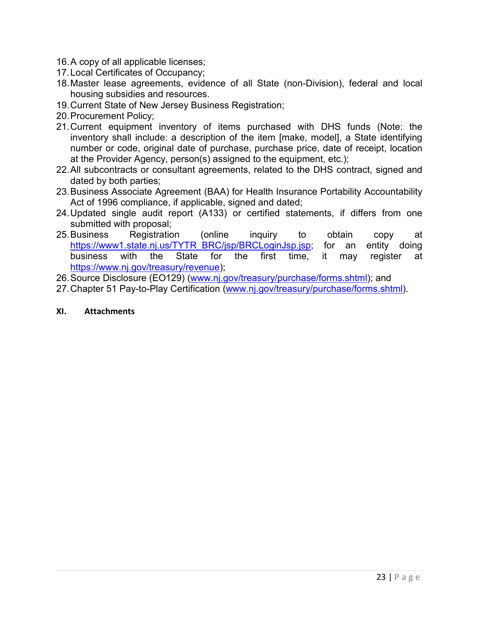- 16.A copy of all applicable licenses;
- 17.Local Certificates of Occupancy;
- 18.Master lease agreements, evidence of all State (non-Division), federal and local housing subsidies and resources.
- 19.Current State of New Jersey Business Registration;
- 20.Procurement Policy;
- 21.Current equipment inventory of items purchased with DHS funds (Note: the inventory shall include: a description of the item [make, model], a State identifying number or code, original date of purchase, purchase price, date of receipt, location at the Provider Agency, person(s) assigned to the equipment, etc.);
- 22.All subcontracts or consultant agreements, related to the DHS contract, signed and dated by both parties;
- 23.Business Associate Agreement (BAA) for Health Insurance Portability Accountability Act of 1996 compliance, if applicable, signed and dated;
- 24.Updated single audit report (A133) or certified statements, if differs from one submitted with proposal;
- 25.Business Registration (online inquiry to obtain copy at [https://www1.state.nj.us/TYTR\\_BRC/jsp/BRCLoginJsp.jsp;](https://www1.state.nj.us/TYTR_BRC/jsp/BRCLoginJsp.jsp) for an entity doing business with the State for the first time, it may register at [https://www.nj.gov/treasury/revenue\)](https://www.nj.gov/treasury/revenue);
- 26.Source Disclosure (EO129) [\(www.nj.gov/treasury/purchase/forms.shtml\)](http://www.nj.gov/treasury/purchase/forms.shtml); and
- 27.Chapter 51 Pay-to-Play Certification [\(www.nj.gov/treasury/purchase/forms.shtml\)](http://www.nj.gov/treasury/purchase/forms.shtml).

#### **XI. Attachments**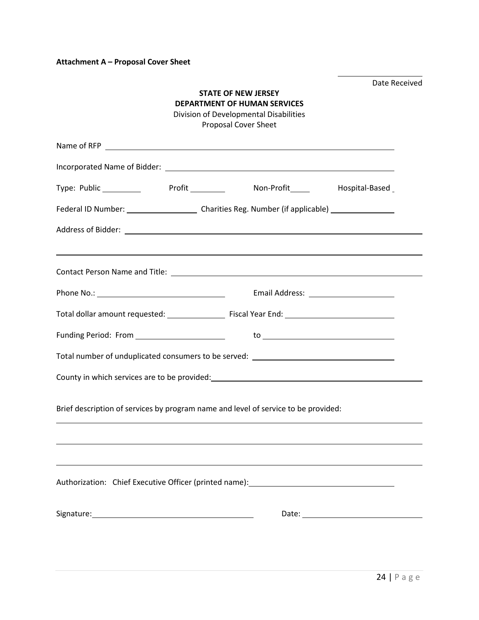**Attachment A – Proposal Cover Sheet**

| Date Received<br><b>STATE OF NEW JERSEY</b><br><b>DEPARTMENT OF HUMAN SERVICES</b><br>Division of Developmental Disabilities<br><b>Proposal Cover Sheet</b> |  |                                                                                                               |                             |  |  |
|-------------------------------------------------------------------------------------------------------------------------------------------------------------|--|---------------------------------------------------------------------------------------------------------------|-----------------------------|--|--|
|                                                                                                                                                             |  |                                                                                                               |                             |  |  |
|                                                                                                                                                             |  |                                                                                                               |                             |  |  |
|                                                                                                                                                             |  | Type: Public ____________ Profit _________ Non-Profit _____ Hospital-Based                                    |                             |  |  |
|                                                                                                                                                             |  |                                                                                                               |                             |  |  |
|                                                                                                                                                             |  |                                                                                                               |                             |  |  |
|                                                                                                                                                             |  |                                                                                                               |                             |  |  |
|                                                                                                                                                             |  |                                                                                                               |                             |  |  |
|                                                                                                                                                             |  |                                                                                                               |                             |  |  |
|                                                                                                                                                             |  |                                                                                                               |                             |  |  |
| Funding Period: From _________________________                                                                                                              |  |                                                                                                               | to $\overline{\phantom{a}}$ |  |  |
|                                                                                                                                                             |  | Total number of unduplicated consumers to be served: ___________________________                              |                             |  |  |
|                                                                                                                                                             |  |                                                                                                               |                             |  |  |
|                                                                                                                                                             |  | Brief description of services by program name and level of service to be provided:                            |                             |  |  |
|                                                                                                                                                             |  |                                                                                                               |                             |  |  |
|                                                                                                                                                             |  |                                                                                                               |                             |  |  |
|                                                                                                                                                             |  | Authorization: Chief Executive Officer (printed name): 2008 2010 2020 2021 2022 2022 2023 2024 2022 2022 2023 |                             |  |  |
|                                                                                                                                                             |  |                                                                                                               |                             |  |  |
|                                                                                                                                                             |  |                                                                                                               |                             |  |  |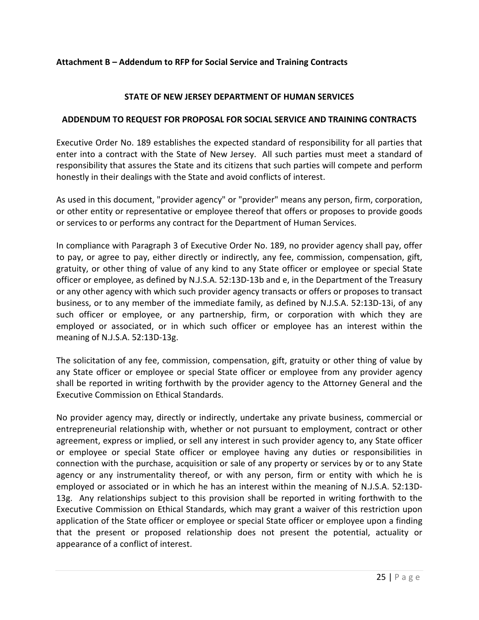### **Attachment B – Addendum to RFP for Social Service and Training Contracts**

#### **STATE OF NEW JERSEY DEPARTMENT OF HUMAN SERVICES**

#### **ADDENDUM TO REQUEST FOR PROPOSAL FOR SOCIAL SERVICE AND TRAINING CONTRACTS**

Executive Order No. 189 establishes the expected standard of responsibility for all parties that enter into a contract with the State of New Jersey. All such parties must meet a standard of responsibility that assures the State and its citizens that such parties will compete and perform honestly in their dealings with the State and avoid conflicts of interest.

As used in this document, "provider agency" or "provider" means any person, firm, corporation, or other entity or representative or employee thereof that offers or proposes to provide goods or services to or performs any contract for the Department of Human Services.

In compliance with Paragraph 3 of Executive Order No. 189, no provider agency shall pay, offer to pay, or agree to pay, either directly or indirectly, any fee, commission, compensation, gift, gratuity, or other thing of value of any kind to any State officer or employee or special State officer or employee, as defined by N.J.S.A. 52:13D-13b and e, in the Department of the Treasury or any other agency with which such provider agency transacts or offers or proposes to transact business, or to any member of the immediate family, as defined by N.J.S.A. 52:13D-13i, of any such officer or employee, or any partnership, firm, or corporation with which they are employed or associated, or in which such officer or employee has an interest within the meaning of N.J.S.A. 52:13D-13g.

The solicitation of any fee, commission, compensation, gift, gratuity or other thing of value by any State officer or employee or special State officer or employee from any provider agency shall be reported in writing forthwith by the provider agency to the Attorney General and the Executive Commission on Ethical Standards.

No provider agency may, directly or indirectly, undertake any private business, commercial or entrepreneurial relationship with, whether or not pursuant to employment, contract or other agreement, express or implied, or sell any interest in such provider agency to, any State officer or employee or special State officer or employee having any duties or responsibilities in connection with the purchase, acquisition or sale of any property or services by or to any State agency or any instrumentality thereof, or with any person, firm or entity with which he is employed or associated or in which he has an interest within the meaning of N.J.S.A. 52:13D-13g. Any relationships subject to this provision shall be reported in writing forthwith to the Executive Commission on Ethical Standards, which may grant a waiver of this restriction upon application of the State officer or employee or special State officer or employee upon a finding that the present or proposed relationship does not present the potential, actuality or appearance of a conflict of interest.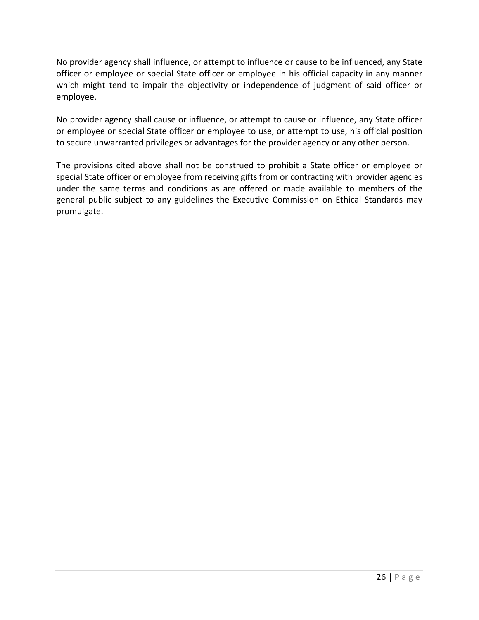No provider agency shall influence, or attempt to influence or cause to be influenced, any State officer or employee or special State officer or employee in his official capacity in any manner which might tend to impair the objectivity or independence of judgment of said officer or employee.

No provider agency shall cause or influence, or attempt to cause or influence, any State officer or employee or special State officer or employee to use, or attempt to use, his official position to secure unwarranted privileges or advantages for the provider agency or any other person.

The provisions cited above shall not be construed to prohibit a State officer or employee or special State officer or employee from receiving gifts from or contracting with provider agencies under the same terms and conditions as are offered or made available to members of the general public subject to any guidelines the Executive Commission on Ethical Standards may promulgate.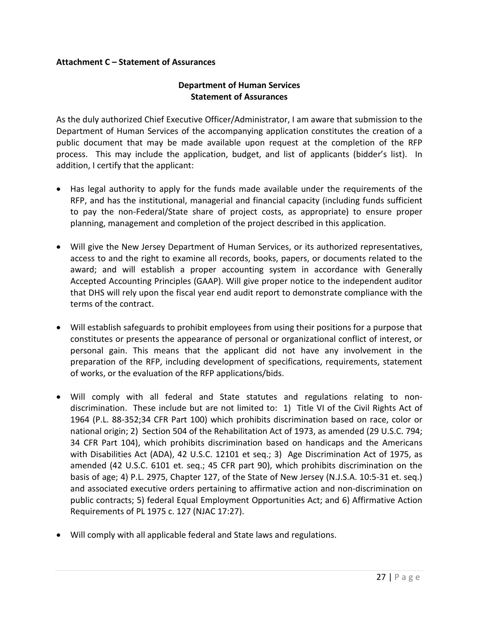#### **Attachment C – Statement of Assurances**

### **Department of Human Services Statement of Assurances**

As the duly authorized Chief Executive Officer/Administrator, I am aware that submission to the Department of Human Services of the accompanying application constitutes the creation of a public document that may be made available upon request at the completion of the RFP process. This may include the application, budget, and list of applicants (bidder's list). In addition, I certify that the applicant:

- Has legal authority to apply for the funds made available under the requirements of the RFP, and has the institutional, managerial and financial capacity (including funds sufficient to pay the non-Federal/State share of project costs, as appropriate) to ensure proper planning, management and completion of the project described in this application.
- Will give the New Jersey Department of Human Services, or its authorized representatives, access to and the right to examine all records, books, papers, or documents related to the award; and will establish a proper accounting system in accordance with Generally Accepted Accounting Principles (GAAP). Will give proper notice to the independent auditor that DHS will rely upon the fiscal year end audit report to demonstrate compliance with the terms of the contract.
- Will establish safeguards to prohibit employees from using their positions for a purpose that constitutes or presents the appearance of personal or organizational conflict of interest, or personal gain. This means that the applicant did not have any involvement in the preparation of the RFP, including development of specifications, requirements, statement of works, or the evaluation of the RFP applications/bids.
- Will comply with all federal and State statutes and regulations relating to nondiscrimination. These include but are not limited to: 1) Title VI of the Civil Rights Act of 1964 (P.L. 88-352;34 CFR Part 100) which prohibits discrimination based on race, color or national origin; 2) Section 504 of the Rehabilitation Act of 1973, as amended (29 U.S.C. 794; 34 CFR Part 104), which prohibits discrimination based on handicaps and the Americans with Disabilities Act (ADA), 42 U.S.C. 12101 et seq.; 3) Age Discrimination Act of 1975, as amended (42 U.S.C. 6101 et. seq.; 45 CFR part 90), which prohibits discrimination on the basis of age; 4) P.L. 2975, Chapter 127, of the State of New Jersey (N.J.S.A. 10:5-31 et. seq.) and associated executive orders pertaining to affirmative action and non-discrimination on public contracts; 5) federal Equal Employment Opportunities Act; and 6) Affirmative Action Requirements of PL 1975 c. 127 (NJAC 17:27).
- Will comply with all applicable federal and State laws and regulations.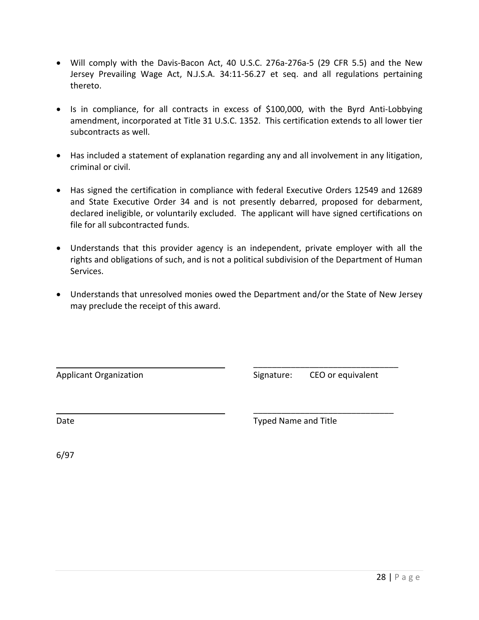- Will comply with the Davis-Bacon Act, 40 U.S.C. 276a-276a-5 (29 CFR 5.5) and the New Jersey Prevailing Wage Act, N.J.S.A. 34:11-56.27 et seq. and all regulations pertaining thereto.
- Is in compliance, for all contracts in excess of \$100,000, with the Byrd Anti-Lobbying amendment, incorporated at Title 31 U.S.C. 1352. This certification extends to all lower tier subcontracts as well.
- Has included a statement of explanation regarding any and all involvement in any litigation, criminal or civil.
- Has signed the certification in compliance with federal Executive Orders 12549 and 12689 and State Executive Order 34 and is not presently debarred, proposed for debarment, declared ineligible, or voluntarily excluded. The applicant will have signed certifications on file for all subcontracted funds.
- Understands that this provider agency is an independent, private employer with all the rights and obligations of such, and is not a political subdivision of the Department of Human Services.
- Understands that unresolved monies owed the Department and/or the State of New Jersey may preclude the receipt of this award.

Applicant Organization **Signature:** CEO or equivalent

\_\_\_\_\_\_\_\_\_\_\_\_\_\_\_\_\_\_\_\_\_\_\_\_\_\_\_\_\_\_\_

\_\_\_\_\_\_\_\_\_\_\_\_\_\_\_\_\_\_\_\_\_\_\_\_\_\_\_\_\_\_

Date **Date** Typed Name and Title

6/97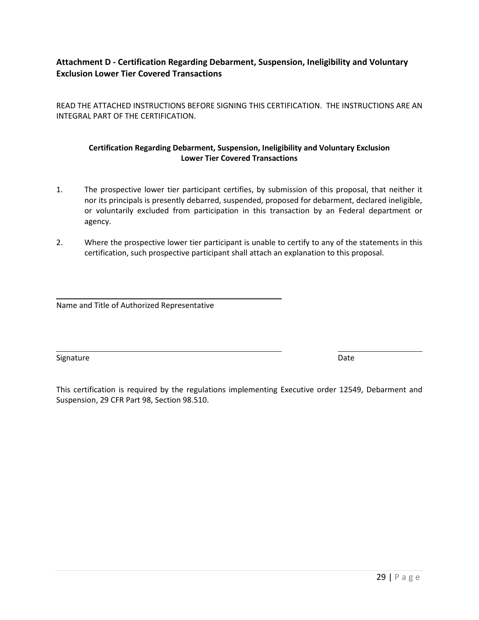### **Attachment D - Certification Regarding Debarment, Suspension, Ineligibility and Voluntary Exclusion Lower Tier Covered Transactions**

READ THE ATTACHED INSTRUCTIONS BEFORE SIGNING THIS CERTIFICATION. THE INSTRUCTIONS ARE AN INTEGRAL PART OF THE CERTIFICATION.

#### **Certification Regarding Debarment, Suspension, Ineligibility and Voluntary Exclusion Lower Tier Covered Transactions**

- 1. The prospective lower tier participant certifies, by submission of this proposal, that neither it nor its principals is presently debarred, suspended, proposed for debarment, declared ineligible, or voluntarily excluded from participation in this transaction by an Federal department or agency.
- 2. Where the prospective lower tier participant is unable to certify to any of the statements in this certification, such prospective participant shall attach an explanation to this proposal.

Name and Title of Authorized Representative

Signature Date Date of the Date of the Date of the Date of the Date of the Date of the Date of the Date of the Date of the Date of the Date of the Date of the Date of the Date of the Date of the Date of the Date of the Dat

This certification is required by the regulations implementing Executive order 12549, Debarment and Suspension, 29 CFR Part 98, Section 98.510.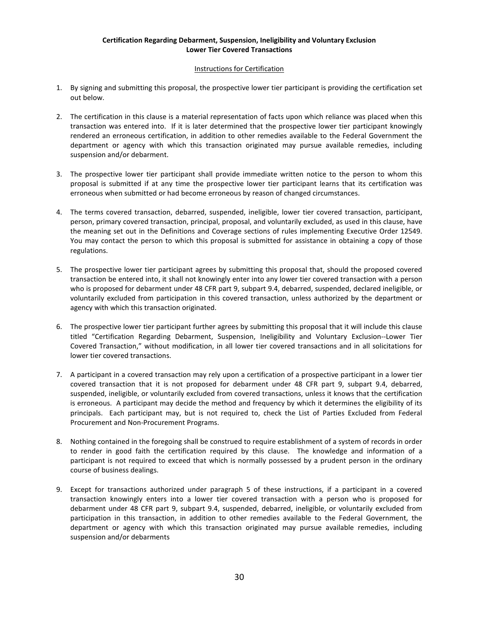#### **Certification Regarding Debarment, Suspension, Ineligibility and Voluntary Exclusion Lower Tier Covered Transactions**

#### Instructions for Certification

- 1. By signing and submitting this proposal, the prospective lower tier participant is providing the certification set out below.
- 2. The certification in this clause is a material representation of facts upon which reliance was placed when this transaction was entered into. If it is later determined that the prospective lower tier participant knowingly rendered an erroneous certification, in addition to other remedies available to the Federal Government the department or agency with which this transaction originated may pursue available remedies, including suspension and/or debarment.
- 3. The prospective lower tier participant shall provide immediate written notice to the person to whom this proposal is submitted if at any time the prospective lower tier participant learns that its certification was erroneous when submitted or had become erroneous by reason of changed circumstances.
- 4. The terms covered transaction, debarred, suspended, ineligible, lower tier covered transaction, participant, person, primary covered transaction, principal, proposal, and voluntarily excluded, as used in this clause, have the meaning set out in the Definitions and Coverage sections of rules implementing Executive Order 12549. You may contact the person to which this proposal is submitted for assistance in obtaining a copy of those regulations.
- 5. The prospective lower tier participant agrees by submitting this proposal that, should the proposed covered transaction be entered into, it shall not knowingly enter into any lower tier covered transaction with a person who is proposed for debarment under 48 CFR part 9, subpart 9.4, debarred, suspended, declared ineligible, or voluntarily excluded from participation in this covered transaction, unless authorized by the department or agency with which this transaction originated.
- 6. The prospective lower tier participant further agrees by submitting this proposal that it will include this clause titled "Certification Regarding Debarment, Suspension, Ineligibility and Voluntary Exclusion--Lower Tier Covered Transaction," without modification, in all lower tier covered transactions and in all solicitations for lower tier covered transactions.
- 7. A participant in a covered transaction may rely upon a certification of a prospective participant in a lower tier covered transaction that it is not proposed for debarment under 48 CFR part 9, subpart 9.4, debarred, suspended, ineligible, or voluntarily excluded from covered transactions, unless it knows that the certification is erroneous. A participant may decide the method and frequency by which it determines the eligibility of its principals. Each participant may, but is not required to, check the List of Parties Excluded from Federal Procurement and Non-Procurement Programs.
- 8. Nothing contained in the foregoing shall be construed to require establishment of a system of records in order to render in good faith the certification required by this clause. The knowledge and information of a participant is not required to exceed that which is normally possessed by a prudent person in the ordinary course of business dealings.
- 9. Except for transactions authorized under paragraph 5 of these instructions, if a participant in a covered transaction knowingly enters into a lower tier covered transaction with a person who is proposed for debarment under 48 CFR part 9, subpart 9.4, suspended, debarred, ineligible, or voluntarily excluded from participation in this transaction, in addition to other remedies available to the Federal Government, the department or agency with which this transaction originated may pursue available remedies, including suspension and/or debarments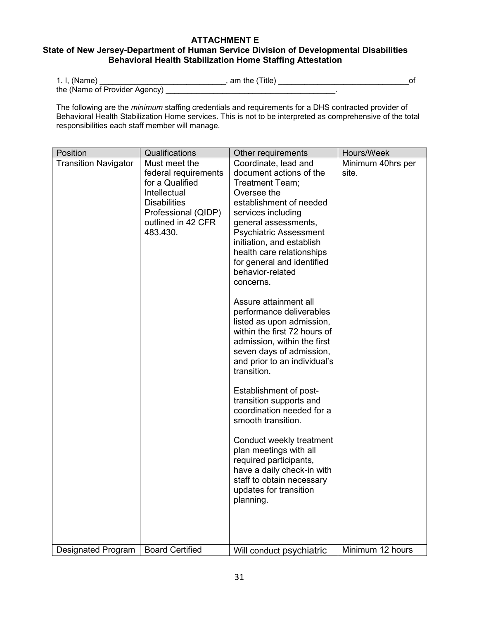#### **ATTACHMENT E**

### **State of New Jersey-Department of Human Service Division of Developmental Disabilities Behavioral Health Stabilization Home Staffing Attestation**

| 1. I, (Name)                  | am the (Title) |  |
|-------------------------------|----------------|--|
| the (Name of Provider Agency) |                |  |

The following are the *minimum* staffing credentials and requirements for a DHS contracted provider of Behavioral Health Stabilization Home services. This is not to be interpreted as comprehensive of the total responsibilities each staff member will manage.

| Position                    | Qualifications                                                                                                                                           | Other requirements                                                                                                                                                                                                                                                                                                                                                                                                                                                                                                                                                                                                                                                                                                                                                                                                                         | Hours/Week                 |
|-----------------------------|----------------------------------------------------------------------------------------------------------------------------------------------------------|--------------------------------------------------------------------------------------------------------------------------------------------------------------------------------------------------------------------------------------------------------------------------------------------------------------------------------------------------------------------------------------------------------------------------------------------------------------------------------------------------------------------------------------------------------------------------------------------------------------------------------------------------------------------------------------------------------------------------------------------------------------------------------------------------------------------------------------------|----------------------------|
| <b>Transition Navigator</b> | Must meet the<br>federal requirements<br>for a Qualified<br>Intellectual<br><b>Disabilities</b><br>Professional (QIDP)<br>outlined in 42 CFR<br>483.430. | Coordinate, lead and<br>document actions of the<br>Treatment Team;<br>Oversee the<br>establishment of needed<br>services including<br>general assessments,<br><b>Psychiatric Assessment</b><br>initiation, and establish<br>health care relationships<br>for general and identified<br>behavior-related<br>concerns.<br>Assure attainment all<br>performance deliverables<br>listed as upon admission,<br>within the first 72 hours of<br>admission, within the first<br>seven days of admission,<br>and prior to an individual's<br>transition.<br>Establishment of post-<br>transition supports and<br>coordination needed for a<br>smooth transition.<br>Conduct weekly treatment<br>plan meetings with all<br>required participants,<br>have a daily check-in with<br>staff to obtain necessary<br>updates for transition<br>planning. | Minimum 40hrs per<br>site. |
| Designated Program          | <b>Board Certified</b>                                                                                                                                   | Will conduct psychiatric                                                                                                                                                                                                                                                                                                                                                                                                                                                                                                                                                                                                                                                                                                                                                                                                                   | Minimum 12 hours           |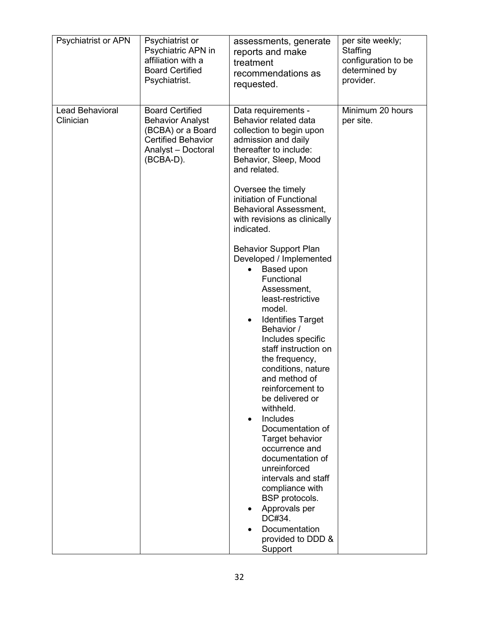| <b>Psychiatrist or APN</b>          | Psychiatrist or                                                                                                                        | assessments, generate                                                                                                                                                                                                                                                                                                                                                                                                                                                                                                                                                                                                                                                                                                                                                                                                                                                                                      | per site weekly;              |
|-------------------------------------|----------------------------------------------------------------------------------------------------------------------------------------|------------------------------------------------------------------------------------------------------------------------------------------------------------------------------------------------------------------------------------------------------------------------------------------------------------------------------------------------------------------------------------------------------------------------------------------------------------------------------------------------------------------------------------------------------------------------------------------------------------------------------------------------------------------------------------------------------------------------------------------------------------------------------------------------------------------------------------------------------------------------------------------------------------|-------------------------------|
|                                     | Psychiatric APN in                                                                                                                     | reports and make                                                                                                                                                                                                                                                                                                                                                                                                                                                                                                                                                                                                                                                                                                                                                                                                                                                                                           | Staffing                      |
|                                     | affiliation with a                                                                                                                     | treatment                                                                                                                                                                                                                                                                                                                                                                                                                                                                                                                                                                                                                                                                                                                                                                                                                                                                                                  | configuration to be           |
|                                     | <b>Board Certified</b>                                                                                                                 | recommendations as                                                                                                                                                                                                                                                                                                                                                                                                                                                                                                                                                                                                                                                                                                                                                                                                                                                                                         | determined by                 |
|                                     | Psychiatrist.                                                                                                                          | requested.                                                                                                                                                                                                                                                                                                                                                                                                                                                                                                                                                                                                                                                                                                                                                                                                                                                                                                 | provider.                     |
| <b>Lead Behavioral</b><br>Clinician | <b>Board Certified</b><br><b>Behavior Analyst</b><br>(BCBA) or a Board<br><b>Certified Behavior</b><br>Analyst - Doctoral<br>(BCBA-D). | Data requirements -<br>Behavior related data<br>collection to begin upon<br>admission and daily<br>thereafter to include:<br>Behavior, Sleep, Mood<br>and related.<br>Oversee the timely<br>initiation of Functional<br>Behavioral Assessment,<br>with revisions as clinically<br>indicated.<br><b>Behavior Support Plan</b><br>Developed / Implemented<br>Based upon<br>$\bullet$<br>Functional<br>Assessment,<br>least-restrictive<br>model.<br><b>Identifies Target</b><br>Behavior /<br>Includes specific<br>staff instruction on<br>the frequency,<br>conditions, nature<br>and method of<br>reinforcement to<br>be delivered or<br>withheld.<br>Includes<br>Documentation of<br><b>Target behavior</b><br>occurrence and<br>documentation of<br>unreinforced<br>intervals and staff<br>compliance with<br>BSP protocols.<br>Approvals per<br>DC#34.<br>Documentation<br>provided to DDD &<br>Support | Minimum 20 hours<br>per site. |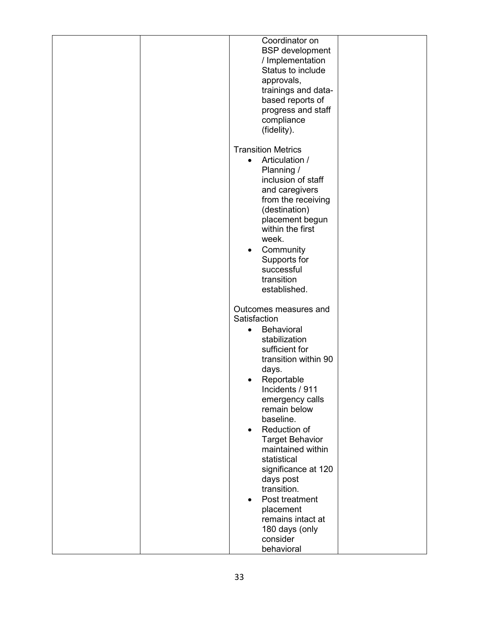| <b>BSP</b> development<br>/ Implementation<br>Status to include<br>approvals,<br>trainings and data-<br>based reports of<br>progress and staff<br>compliance<br>(fidelity).<br><b>Transition Metrics</b><br>Articulation /<br>$\bullet$<br>Planning /<br>inclusion of staff<br>and caregivers<br>from the receiving<br>(destination)<br>placement begun<br>within the first<br>week.<br>Community<br>٠<br>Supports for<br>successful<br>transition<br>established.<br>Outcomes measures and<br>Satisfaction<br><b>Behavioral</b><br>$\bullet$<br>stabilization<br>sufficient for<br>transition within 90<br>days.<br>Reportable<br>Incidents / 911<br>emergency calls<br>remain below<br>baseline.<br>Reduction of<br>$\bullet$<br><b>Target Behavior</b><br>maintained within<br>statistical<br>significance at 120<br>days post<br>transition.<br>Post treatment<br>placement<br>remains intact at<br>180 days (only |                |
|------------------------------------------------------------------------------------------------------------------------------------------------------------------------------------------------------------------------------------------------------------------------------------------------------------------------------------------------------------------------------------------------------------------------------------------------------------------------------------------------------------------------------------------------------------------------------------------------------------------------------------------------------------------------------------------------------------------------------------------------------------------------------------------------------------------------------------------------------------------------------------------------------------------------|----------------|
|                                                                                                                                                                                                                                                                                                                                                                                                                                                                                                                                                                                                                                                                                                                                                                                                                                                                                                                        | Coordinator on |
|                                                                                                                                                                                                                                                                                                                                                                                                                                                                                                                                                                                                                                                                                                                                                                                                                                                                                                                        |                |
|                                                                                                                                                                                                                                                                                                                                                                                                                                                                                                                                                                                                                                                                                                                                                                                                                                                                                                                        | consider       |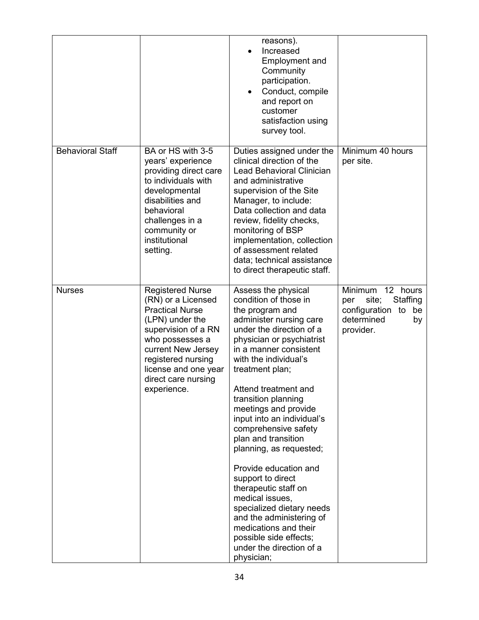|                         |                                                                                                                                                                                                                                                | reasons).<br>Increased<br>$\bullet$<br><b>Employment and</b><br>Community<br>participation.<br>Conduct, compile<br>$\bullet$<br>and report on<br>customer<br>satisfaction using<br>survey tool.                                                                                                                                                                                                                                                                                                                                                                                                                                                         |                                                                                                         |
|-------------------------|------------------------------------------------------------------------------------------------------------------------------------------------------------------------------------------------------------------------------------------------|---------------------------------------------------------------------------------------------------------------------------------------------------------------------------------------------------------------------------------------------------------------------------------------------------------------------------------------------------------------------------------------------------------------------------------------------------------------------------------------------------------------------------------------------------------------------------------------------------------------------------------------------------------|---------------------------------------------------------------------------------------------------------|
| <b>Behavioral Staff</b> | BA or HS with 3-5<br>years' experience<br>providing direct care<br>to individuals with<br>developmental<br>disabilities and<br>behavioral<br>challenges in a<br>community or<br>institutional<br>setting.                                      | Duties assigned under the<br>clinical direction of the<br>Lead Behavioral Clinician<br>and administrative<br>supervision of the Site<br>Manager, to include:<br>Data collection and data<br>review, fidelity checks,<br>monitoring of BSP<br>implementation, collection<br>of assessment related<br>data; technical assistance<br>to direct therapeutic staff.                                                                                                                                                                                                                                                                                          | Minimum 40 hours<br>per site.                                                                           |
| <b>Nurses</b>           | <b>Registered Nurse</b><br>(RN) or a Licensed<br><b>Practical Nurse</b><br>(LPN) under the<br>supervision of a RN<br>who possesses a<br>current New Jersey<br>registered nursing<br>license and one year<br>direct care nursing<br>experience. | Assess the physical<br>condition of those in<br>the program and<br>administer nursing care<br>under the direction of a<br>physician or psychiatrist<br>in a manner consistent<br>with the individual's<br>treatment plan;<br>Attend treatment and<br>transition planning<br>meetings and provide<br>input into an individual's<br>comprehensive safety<br>plan and transition<br>planning, as requested;<br>Provide education and<br>support to direct<br>therapeutic staff on<br>medical issues,<br>specialized dietary needs<br>and the administering of<br>medications and their<br>possible side effects;<br>under the direction of a<br>physician; | 12 hours<br>Minimum<br>Staffing<br>site;<br>per<br>configuration to be<br>determined<br>by<br>provider. |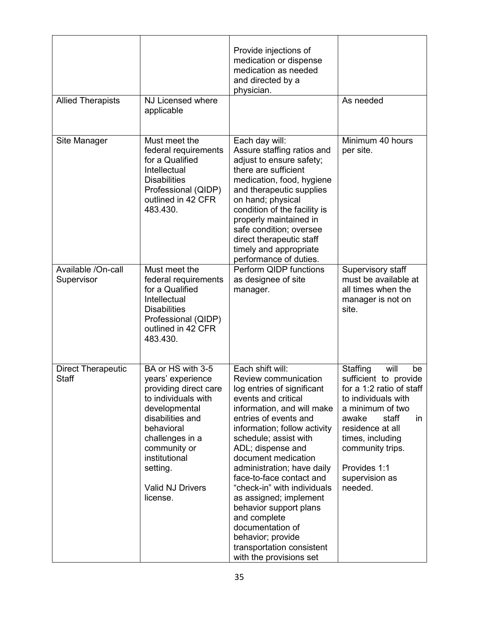|                                           |                                                                                                                                                                                                                                                  | Provide injections of<br>medication or dispense<br>medication as needed<br>and directed by a<br>physician.                                                                                                                                                                                                                                                                                                                                                                                                              |                                                                                                                                                                                                                                                         |
|-------------------------------------------|--------------------------------------------------------------------------------------------------------------------------------------------------------------------------------------------------------------------------------------------------|-------------------------------------------------------------------------------------------------------------------------------------------------------------------------------------------------------------------------------------------------------------------------------------------------------------------------------------------------------------------------------------------------------------------------------------------------------------------------------------------------------------------------|---------------------------------------------------------------------------------------------------------------------------------------------------------------------------------------------------------------------------------------------------------|
| <b>Allied Therapists</b>                  | NJ Licensed where<br>applicable                                                                                                                                                                                                                  |                                                                                                                                                                                                                                                                                                                                                                                                                                                                                                                         | As needed                                                                                                                                                                                                                                               |
| Site Manager                              | Must meet the<br>federal requirements<br>for a Qualified<br>Intellectual<br><b>Disabilities</b><br>Professional (QIDP)<br>outlined in 42 CFR<br>483.430.                                                                                         | Each day will:<br>Assure staffing ratios and<br>adjust to ensure safety;<br>there are sufficient<br>medication, food, hygiene<br>and therapeutic supplies<br>on hand; physical<br>condition of the facility is<br>properly maintained in<br>safe condition; oversee<br>direct therapeutic staff<br>timely and appropriate<br>performance of duties.                                                                                                                                                                     | Minimum 40 hours<br>per site.                                                                                                                                                                                                                           |
| Available /On-call<br>Supervisor          | Must meet the<br>federal requirements<br>for a Qualified<br>Intellectual<br><b>Disabilities</b><br>Professional (QIDP)<br>outlined in 42 CFR<br>483.430.                                                                                         | Perform QIDP functions<br>as designee of site<br>manager.                                                                                                                                                                                                                                                                                                                                                                                                                                                               | Supervisory staff<br>must be available at<br>all times when the<br>manager is not on<br>site.                                                                                                                                                           |
| <b>Direct Therapeutic</b><br><b>Staff</b> | BA or HS with 3-5<br>years' experience<br>providing direct care<br>to individuals with<br>developmental<br>disabilities and<br>behavioral<br>challenges in a<br>community or<br>institutional<br>setting.<br><b>Valid NJ Drivers</b><br>license. | Each shift will:<br>Review communication<br>log entries of significant<br>events and critical<br>information, and will make<br>entries of events and<br>information; follow activity<br>schedule; assist with<br>ADL; dispense and<br>document medication<br>administration; have daily<br>face-to-face contact and<br>"check-in" with individuals<br>as assigned; implement<br>behavior support plans<br>and complete<br>documentation of<br>behavior; provide<br>transportation consistent<br>with the provisions set | Staffing<br>will<br>be<br>sufficient to provide<br>for a 1:2 ratio of staff<br>to individuals with<br>a minimum of two<br>staff<br>awake<br>in<br>residence at all<br>times, including<br>community trips.<br>Provides 1:1<br>supervision as<br>needed. |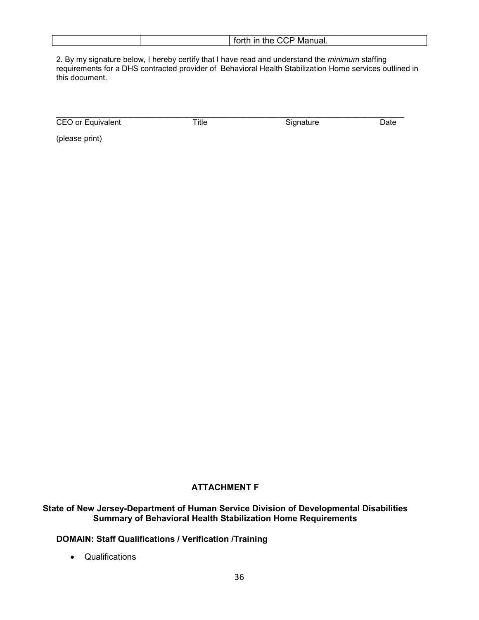|  |  |  | $f$ <sub>n</sub> $H$<br>$\sim$ $\sim$<br>$+1$<br>Manual.<br>forth in the<br>. .<br>- 77 |  |
|--|--|--|-----------------------------------------------------------------------------------------|--|
|--|--|--|-----------------------------------------------------------------------------------------|--|

2. By my signature below, I hereby certify that I have read and understand the *minimum* staffing requirements for a DHS contracted provider of Behavioral Health Stabilization Home services outlined in this document.

| CEO or Equivalent | ⊺itle | Signature | Date |
|-------------------|-------|-----------|------|

(please print)

### **ATTACHMENT F**

#### **State of New Jersey-Department of Human Service Division of Developmental Disabilities Summary of Behavioral Health Stabilization Home Requirements**

#### **DOMAIN: Staff Qualifications / Verification /Training**

• Qualifications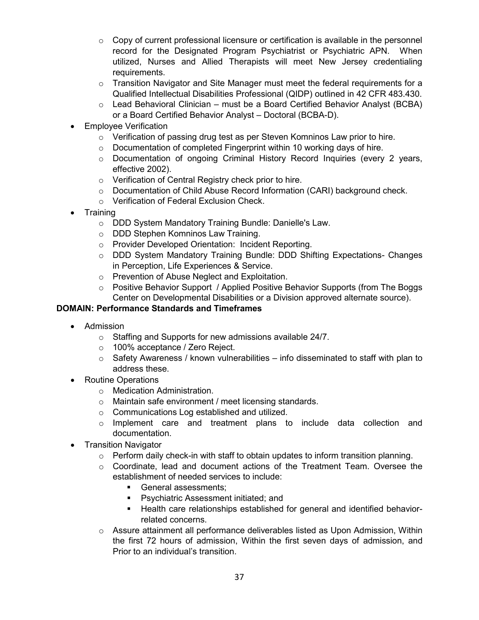- $\circ$  Copy of current professional licensure or certification is available in the personnel record for the Designated Program Psychiatrist or Psychiatric APN. When utilized, Nurses and Allied Therapists will meet New Jersey credentialing requirements.
- $\circ$  Transition Navigator and Site Manager must meet the federal requirements for a Qualified Intellectual Disabilities Professional (QIDP) outlined in 42 CFR 483.430.
- $\circ$  Lead Behavioral Clinician must be a Board Certified Behavior Analyst (BCBA) or a Board Certified Behavior Analyst – Doctoral (BCBA-D).
- **Employee Verification** 
	- $\circ$  Verification of passing drug test as per Steven Komninos Law prior to hire.
	- o Documentation of completed Fingerprint within 10 working days of hire.
	- $\circ$  Documentation of ongoing Criminal History Record Inquiries (every 2 years, effective 2002).
	- o Verification of Central Registry check prior to hire.
	- o Documentation of Child Abuse Record Information (CARI) background check.
	- o Verification of Federal Exclusion Check.
- Training
	- o DDD System Mandatory Training Bundle: Danielle's Law.
	- o DDD Stephen Komninos Law Training.
	- o Provider Developed Orientation: Incident Reporting.
	- o DDD System Mandatory Training Bundle: DDD Shifting Expectations- Changes in Perception, Life Experiences & Service.
	- o Prevention of Abuse Neglect and Exploitation.
	- $\circ$  Positive Behavior Support / Applied Positive Behavior Supports (from The Boggs Center on Developmental Disabilities or a Division approved alternate source).

#### **DOMAIN: Performance Standards and Timeframes**

- Admission
	- o Staffing and Supports for new admissions available 24/7.
	- o 100% acceptance / Zero Reject.
	- $\circ$  Safety Awareness / known vulnerabilities info disseminated to staff with plan to address these.
- Routine Operations
	- o Medication Administration.
	- o Maintain safe environment / meet licensing standards.
	- o Communications Log established and utilized.
	- o Implement care and treatment plans to include data collection and documentation.
- Transition Navigator
	- $\circ$  Perform daily check-in with staff to obtain updates to inform transition planning.
	- o Coordinate, lead and document actions of the Treatment Team. Oversee the establishment of needed services to include:
		- General assessments;
		- Psychiatric Assessment initiated; and
		- Health care relationships established for general and identified behaviorrelated concerns.
	- $\circ$  Assure attainment all performance deliverables listed as Upon Admission, Within the first 72 hours of admission, Within the first seven days of admission, and Prior to an individual's transition.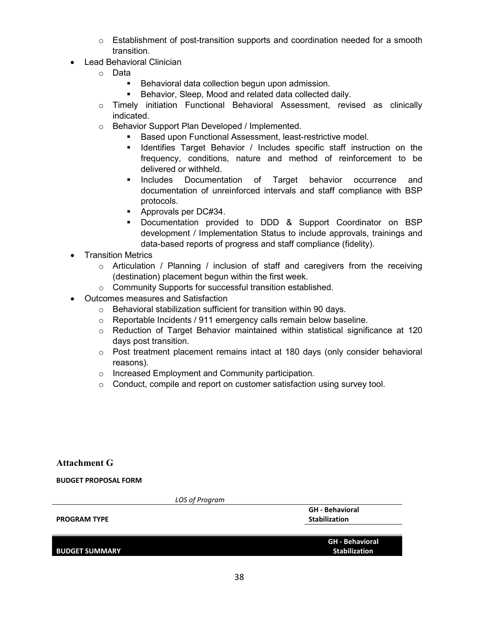- $\circ$  Establishment of post-transition supports and coordination needed for a smooth transition.
- Lead Behavioral Clinician
	- o Data
		- **Behavioral data collection begun upon admission.**
		- Behavior, Sleep, Mood and related data collected daily.
	- o Timely initiation Functional Behavioral Assessment, revised as clinically indicated.
	- o Behavior Support Plan Developed / Implemented.
		- Based upon Functional Assessment, least-restrictive model.
		- **IDENTIFY IDENT** Identifies Target Behavior / Includes specific staff instruction on the frequency, conditions, nature and method of reinforcement to be delivered or withheld.
		- **Includes Documentation of Target behavior occurrence and** documentation of unreinforced intervals and staff compliance with BSP protocols.
		- **Approvals per DC#34.**
		- Documentation provided to DDD & Support Coordinator on BSP development / Implementation Status to include approvals, trainings and data-based reports of progress and staff compliance (fidelity).
- Transition Metrics
	- $\circ$  Articulation / Planning / inclusion of staff and caregivers from the receiving (destination) placement begun within the first week.
	- o Community Supports for successful transition established.
- Outcomes measures and Satisfaction
	- $\circ$  Behavioral stabilization sufficient for transition within 90 days.
	- o Reportable Incidents / 911 emergency calls remain below baseline.
	- $\circ$  Reduction of Target Behavior maintained within statistical significance at 120 days post transition.
	- $\circ$  Post treatment placement remains intact at 180 days (only consider behavioral reasons).
	- o Increased Employment and Community participation.
	- o Conduct, compile and report on customer satisfaction using survey tool.

#### **Attachment G**

**BUDGET PROPOSAL FORM**

| LOS of Program        |                                                |
|-----------------------|------------------------------------------------|
| <b>PROGRAM TYPE</b>   | <b>GH</b> - Behavioral<br><b>Stabilization</b> |
|                       |                                                |
|                       | <b>GH</b> - Behavioral                         |
| <b>BUDGET SUMMARY</b> | <b>Stabilization</b>                           |
|                       |                                                |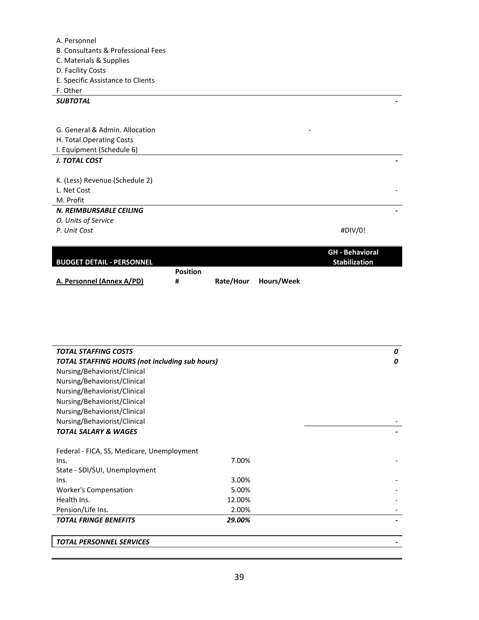| A. Personnel                       |         |
|------------------------------------|---------|
| B. Consultants & Professional Fees |         |
| C. Materials & Supplies            |         |
| D. Facility Costs                  |         |
| E. Specific Assistance to Clients  |         |
| F. Other                           |         |
| <b>SUBTOTAL</b>                    |         |
|                                    |         |
|                                    |         |
| G. General & Admin. Allocation     |         |
| H. Total Operating Costs           |         |
| I. Equipment (Schedule 6)          |         |
| <b>J. TOTAL COST</b>               |         |
|                                    |         |
| K. (Less) Revenue (Schedule 2)     |         |
| L. Net Cost                        |         |
| M. Profit                          |         |
| N. REIMBURSABLE CEILING            |         |
| O. Units of Service                |         |
| P. Unit Cost                       | #DIV/0! |
|                                    |         |

|                                  |                 |           |            | <b>GH</b> - Behavioral |
|----------------------------------|-----------------|-----------|------------|------------------------|
| <b>BUDGET DETAIL - PERSONNEL</b> |                 |           |            | Stabilization          |
|                                  | <b>Position</b> |           |            |                        |
| A. Personnel (Annex A/PD)        | #               | Rate/Hour | Hours/Week |                        |

| <b>TOTAL STAFFING COSTS</b>                           |        | 0 |
|-------------------------------------------------------|--------|---|
| <b>TOTAL STAFFING HOURS (not including sub hours)</b> |        | 0 |
| Nursing/Behaviorist/Clinical                          |        |   |
| Nursing/Behaviorist/Clinical                          |        |   |
| Nursing/Behaviorist/Clinical                          |        |   |
| Nursing/Behaviorist/Clinical                          |        |   |
| Nursing/Behaviorist/Clinical                          |        |   |
| Nursing/Behaviorist/Clinical                          |        |   |
| <b>TOTAL SALARY &amp; WAGES</b>                       |        |   |
|                                                       |        |   |
| Federal - FICA, SS, Medicare, Unemployment            |        |   |
| Ins.                                                  | 7.00%  |   |
| State - SDI/SUI, Unemployment                         |        |   |
| Ins.                                                  | 3.00%  |   |
| <b>Worker's Compensation</b>                          | 5.00%  |   |
| Health Ins.                                           | 12.00% |   |
| Pension/Life Ins.                                     | 2.00%  |   |
| <b>TOTAL FRINGE BENEFITS</b>                          | 29.00% |   |
|                                                       |        |   |
| <b>TOTAL PERSONNEL SERVICES</b>                       |        |   |
|                                                       |        |   |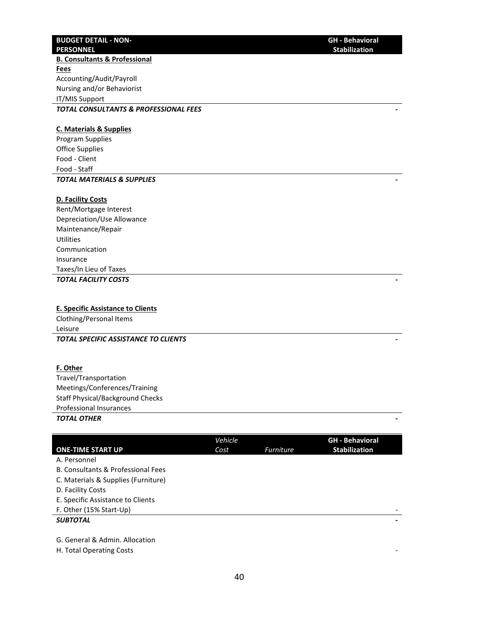#### **BUDGET DETAIL - NON-PERSONNEL**

**B. Consultants & Professional Fees** Accounting/Audit/Payroll Nursing and/or Behaviorist IT/MIS Support *TOTAL CONSULTANTS & PROFESSIONAL FEES -* 

#### **C. Materials & Supplies**

Program Supplies Office Supplies Food - Client Food - Staff *TOTAL MATERIALS & SUPPLIES -* 

## **D. Facility Costs**

Rent/Mortgage Interest Depreciation/Use Allowance Maintenance/Repair **Utilities** Communication Insurance Taxes/In Lieu of Taxes

*TOTAL FACILITY COSTS -* 

#### **E. Specific Assistance to Clients**

Clothing/Personal Items Leisure *TOTAL SPECIFIC ASSISTANCE TO CLIENTS -* 

#### **F. Other**

Travel/Transportation Meetings/Conferences/Training Staff Physical/Background Checks Professional Insurances *TOTAL OTHER -* 

#### **ONE-TIME START UP** *Vehicle Cost Furniture* **GH - Behavioral Stabilization** A. Personnel B. Consultants & Professional Fees C. Materials & Supplies (Furniture) D. Facility Costs E. Specific Assistance to Clients F. Other (15% Start-Up) *SUBTOTAL -*  G. General & Admin. Allocation

H. Total Operating Costs -